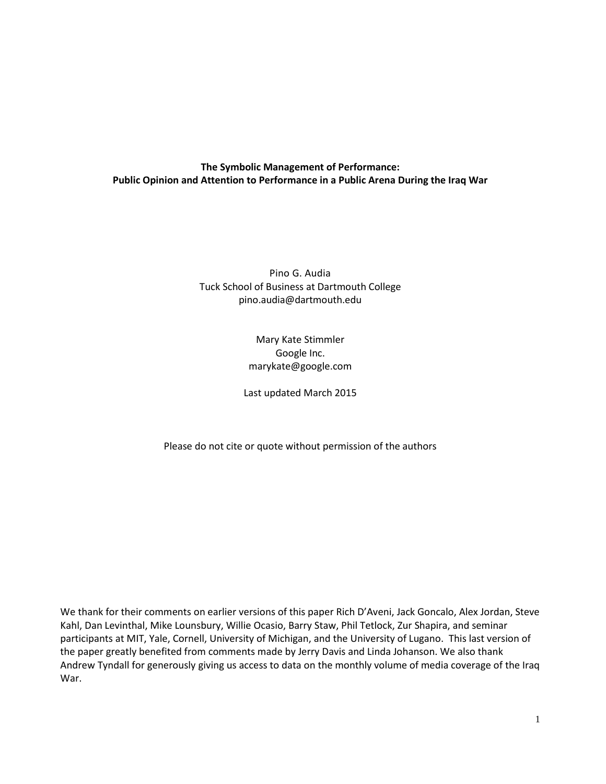# **The Symbolic Management of Performance: Public Opinion and Attention to Performance in a Public Arena During the Iraq War**

Pino G. Audia Tuck School of Business at Dartmouth College pino.audia@dartmouth.edu

> Mary Kate Stimmler Google Inc. marykate@google.com

Last updated March 2015

Please do not cite or quote without permission of the authors

We thank for their comments on earlier versions of this paper Rich D'Aveni, Jack Goncalo, Alex Jordan, Steve Kahl, Dan Levinthal, Mike Lounsbury, Willie Ocasio, Barry Staw, Phil Tetlock, Zur Shapira, and seminar participants at MIT, Yale, Cornell, University of Michigan, and the University of Lugano. This last version of the paper greatly benefited from comments made by Jerry Davis and Linda Johanson. We also thank Andrew Tyndall for generously giving us access to data on the monthly volume of media coverage of the Iraq War.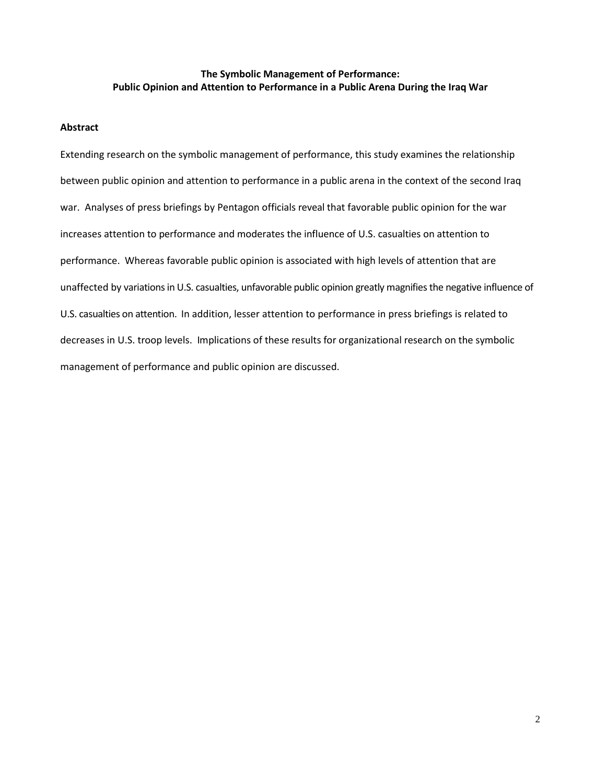## **The Symbolic Management of Performance: Public Opinion and Attention to Performance in a Public Arena During the Iraq War**

## **Abstract**

Extending research on the symbolic management of performance, this study examines the relationship between public opinion and attention to performance in a public arena in the context of the second Iraq war. Analyses of press briefings by Pentagon officials reveal that favorable public opinion for the war increases attention to performance and moderates the influence of U.S. casualties on attention to performance. Whereas favorable public opinion is associated with high levels of attention that are unaffected by variations in U.S. casualties, unfavorable public opinion greatly magnifies the negative influence of U.S. casualties on attention. In addition, lesser attention to performance in press briefings is related to decreases in U.S. troop levels. Implications of these results for organizational research on the symbolic management of performance and public opinion are discussed.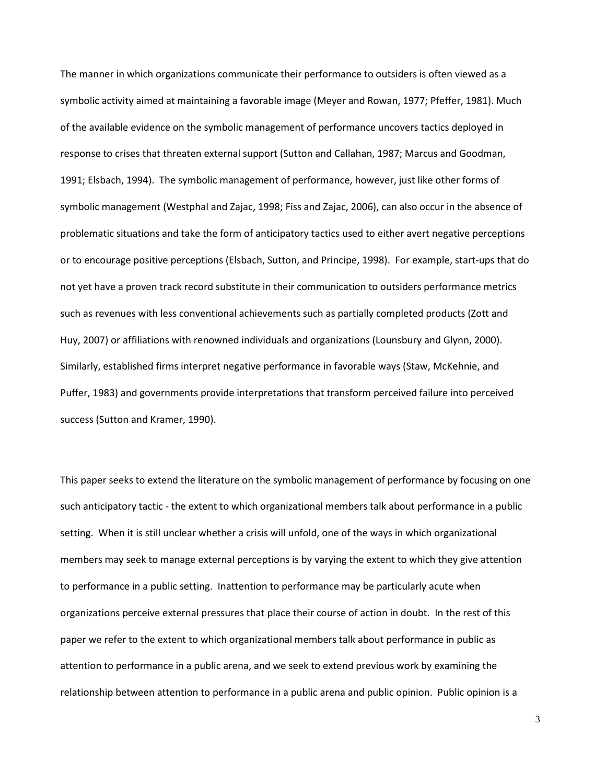The manner in which organizations communicate their performance to outsiders is often viewed as a symbolic activity aimed at maintaining a favorable image (Meyer and Rowan, 1977; Pfeffer, 1981). Much of the available evidence on the symbolic management of performance uncovers tactics deployed in response to crises that threaten external support (Sutton and Callahan, 1987; Marcus and Goodman, 1991; Elsbach, 1994). The symbolic management of performance, however, just like other forms of symbolic management (Westphal and Zajac, 1998; Fiss and Zajac, 2006), can also occur in the absence of problematic situations and take the form of anticipatory tactics used to either avert negative perceptions or to encourage positive perceptions (Elsbach, Sutton, and Principe, 1998). For example, start-ups that do not yet have a proven track record substitute in their communication to outsiders performance metrics such as revenues with less conventional achievements such as partially completed products (Zott and Huy, 2007) or affiliations with renowned individuals and organizations (Lounsbury and Glynn, 2000). Similarly, established firms interpret negative performance in favorable ways (Staw, McKehnie, and Puffer, 1983) and governments provide interpretations that transform perceived failure into perceived success (Sutton and Kramer, 1990).

This paper seeks to extend the literature on the symbolic management of performance by focusing on one such anticipatory tactic - the extent to which organizational members talk about performance in a public setting. When it is still unclear whether a crisis will unfold, one of the ways in which organizational members may seek to manage external perceptions is by varying the extent to which they give attention to performance in a public setting. Inattention to performance may be particularly acute when organizations perceive external pressures that place their course of action in doubt. In the rest of this paper we refer to the extent to which organizational members talk about performance in public as attention to performance in a public arena, and we seek to extend previous work by examining the relationship between attention to performance in a public arena and public opinion. Public opinion is a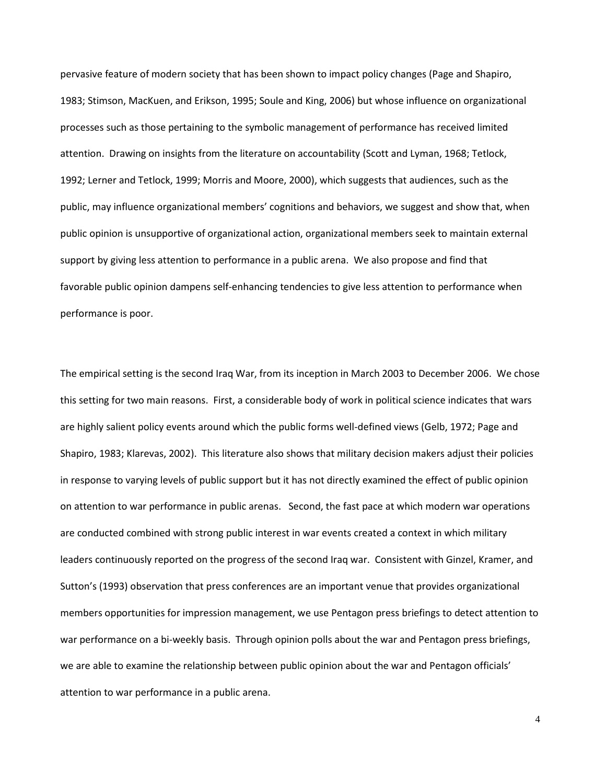pervasive feature of modern society that has been shown to impact policy changes (Page and Shapiro, 1983; Stimson, MacKuen, and Erikson, 1995; Soule and King, 2006) but whose influence on organizational processes such as those pertaining to the symbolic management of performance has received limited attention. Drawing on insights from the literature on accountability (Scott and Lyman, 1968; Tetlock, 1992; Lerner and Tetlock, 1999; Morris and Moore, 2000), which suggests that audiences, such as the public, may influence organizational members' cognitions and behaviors, we suggest and show that, when public opinion is unsupportive of organizational action, organizational members seek to maintain external support by giving less attention to performance in a public arena. We also propose and find that favorable public opinion dampens self-enhancing tendencies to give less attention to performance when performance is poor.

The empirical setting is the second Iraq War, from its inception in March 2003 to December 2006. We chose this setting for two main reasons. First, a considerable body of work in political science indicates that wars are highly salient policy events around which the public forms well-defined views (Gelb, 1972; Page and Shapiro, 1983; Klarevas, 2002). This literature also shows that military decision makers adjust their policies in response to varying levels of public support but it has not directly examined the effect of public opinion on attention to war performance in public arenas. Second, the fast pace at which modern war operations are conducted combined with strong public interest in war events created a context in which military leaders continuously reported on the progress of the second Iraq war. Consistent with Ginzel, Kramer, and Sutton's (1993) observation that press conferences are an important venue that provides organizational members opportunities for impression management, we use Pentagon press briefings to detect attention to war performance on a bi-weekly basis. Through opinion polls about the war and Pentagon press briefings, we are able to examine the relationship between public opinion about the war and Pentagon officials' attention to war performance in a public arena.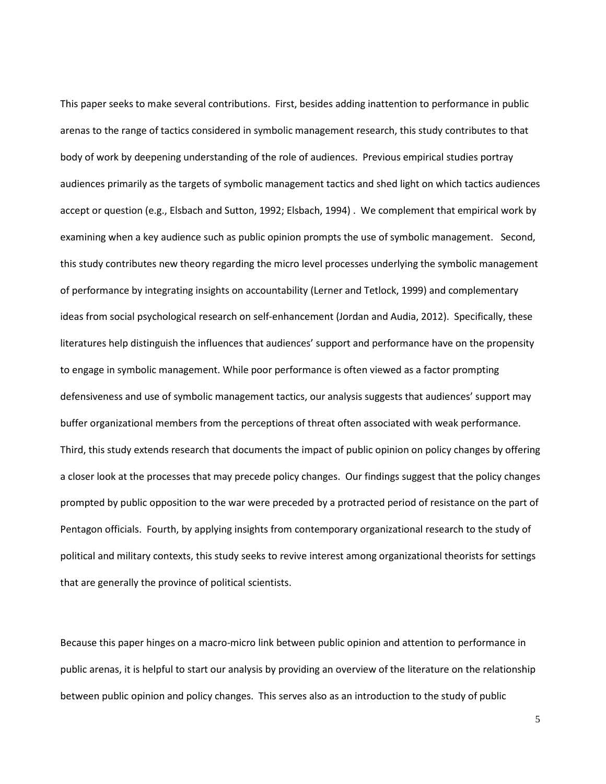This paper seeks to make several contributions. First, besides adding inattention to performance in public arenas to the range of tactics considered in symbolic management research, this study contributes to that body of work by deepening understanding of the role of audiences. Previous empirical studies portray audiences primarily as the targets of symbolic management tactics and shed light on which tactics audiences accept or question (e.g., Elsbach and Sutton, 1992; Elsbach, 1994) . We complement that empirical work by examining when a key audience such as public opinion prompts the use of symbolic management. Second, this study contributes new theory regarding the micro level processes underlying the symbolic management of performance by integrating insights on accountability (Lerner and Tetlock, 1999) and complementary ideas from social psychological research on self-enhancement (Jordan and Audia, 2012). Specifically, these literatures help distinguish the influences that audiences' support and performance have on the propensity to engage in symbolic management. While poor performance is often viewed as a factor prompting defensiveness and use of symbolic management tactics, our analysis suggests that audiences' support may buffer organizational members from the perceptions of threat often associated with weak performance. Third, this study extends research that documents the impact of public opinion on policy changes by offering a closer look at the processes that may precede policy changes. Our findings suggest that the policy changes prompted by public opposition to the war were preceded by a protracted period of resistance on the part of Pentagon officials. Fourth, by applying insights from contemporary organizational research to the study of political and military contexts, this study seeks to revive interest among organizational theorists for settings that are generally the province of political scientists.

Because this paper hinges on a macro-micro link between public opinion and attention to performance in public arenas, it is helpful to start our analysis by providing an overview of the literature on the relationship between public opinion and policy changes. This serves also as an introduction to the study of public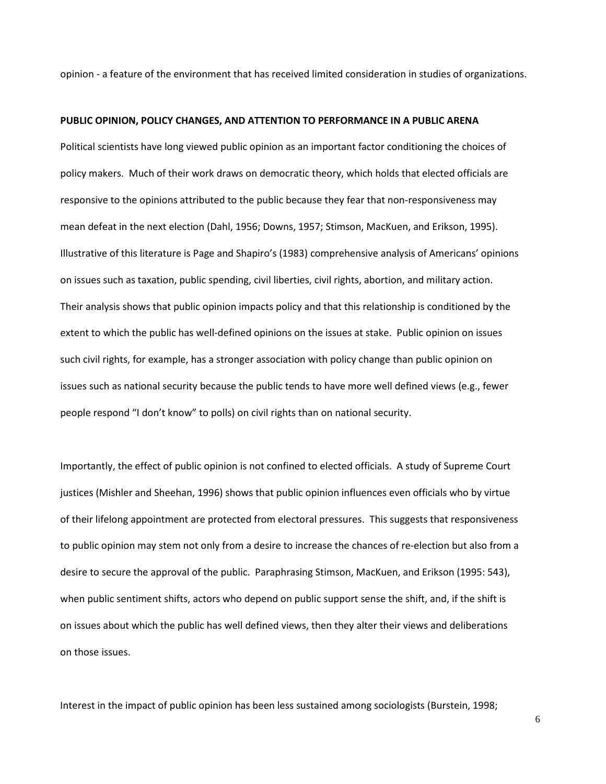opinion - a feature of the environment that has received limited consideration in studies of organizations.

### **PUBLIC OPINION, POLICY CHANGES, AND ATTENTION TO PERFORMANCE IN A PUBLIC ARENA**

Political scientists have long viewed public opinion as an important factor conditioning the choices of policy makers. Much of their work draws on democratic theory, which holds that elected officials are responsive to the opinions attributed to the public because they fear that non-responsiveness may mean defeat in the next election (Dahl, 1956; Downs, 1957; Stimson, MacKuen, and Erikson, 1995). Illustrative of this literature is Page and Shapiro's (1983) comprehensive analysis of Americans' opinions on issues such as taxation, public spending, civil liberties, civil rights, abortion, and military action. Their analysis shows that public opinion impacts policy and that this relationship is conditioned by the extent to which the public has well-defined opinions on the issues at stake. Public opinion on issues such civil rights, for example, has a stronger association with policy change than public opinion on issues such as national security because the public tends to have more well defined views (e.g., fewer people respond "I don't know" to polls) on civil rights than on national security.

Importantly, the effect of public opinion is not confined to elected officials. A study of Supreme Court justices (Mishler and Sheehan, 1996) shows that public opinion influences even officials who by virtue of their lifelong appointment are protected from electoral pressures. This suggests that responsiveness to public opinion may stem not only from a desire to increase the chances of re-election but also from a desire to secure the approval of the public. Paraphrasing Stimson, MacKuen, and Erikson (1995: 543), when public sentiment shifts, actors who depend on public support sense the shift, and, if the shift is on issues about which the public has well defined views, then they alter their views and deliberations on those issues.

Interest in the impact of public opinion has been less sustained among sociologists (Burstein, 1998;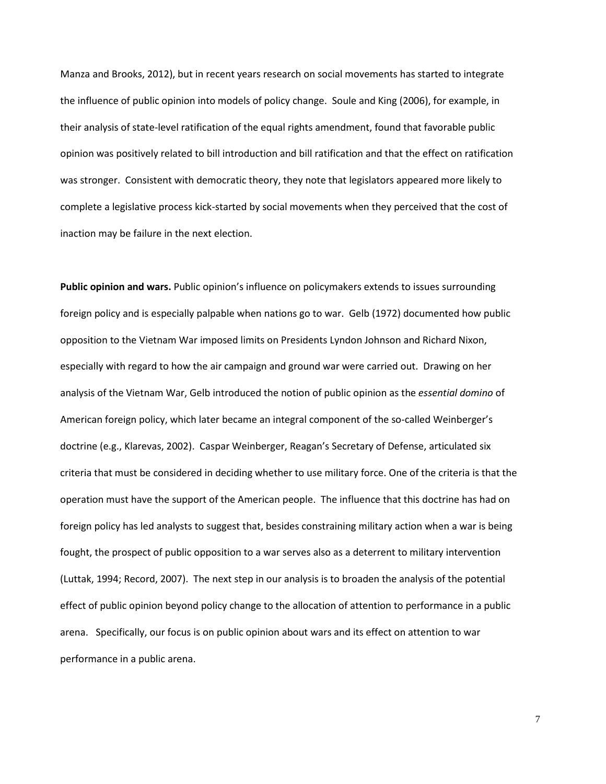Manza and Brooks, 2012), but in recent years research on social movements has started to integrate the influence of public opinion into models of policy change. Soule and King (2006), for example, in their analysis of state-level ratification of the equal rights amendment, found that favorable public opinion was positively related to bill introduction and bill ratification and that the effect on ratification was stronger. Consistent with democratic theory, they note that legislators appeared more likely to complete a legislative process kick-started by social movements when they perceived that the cost of inaction may be failure in the next election.

**Public opinion and wars.** Public opinion's influence on policymakers extends to issues surrounding foreign policy and is especially palpable when nations go to war. Gelb (1972) documented how public opposition to the Vietnam War imposed limits on Presidents Lyndon Johnson and Richard Nixon, especially with regard to how the air campaign and ground war were carried out. Drawing on her analysis of the Vietnam War, Gelb introduced the notion of public opinion as the *essential domino* of American foreign policy, which later became an integral component of the so-called Weinberger's doctrine (e.g., Klarevas, 2002). Caspar Weinberger, Reagan's Secretary of Defense, articulated six criteria that must be considered in deciding whether to use military force. One of the criteria is that the operation must have the support of the American people. The influence that this doctrine has had on foreign policy has led analysts to suggest that, besides constraining military action when a war is being fought, the prospect of public opposition to a war serves also as a deterrent to military intervention (Luttak, 1994; Record, 2007). The next step in our analysis is to broaden the analysis of the potential effect of public opinion beyond policy change to the allocation of attention to performance in a public arena. Specifically, our focus is on public opinion about wars and its effect on attention to war performance in a public arena.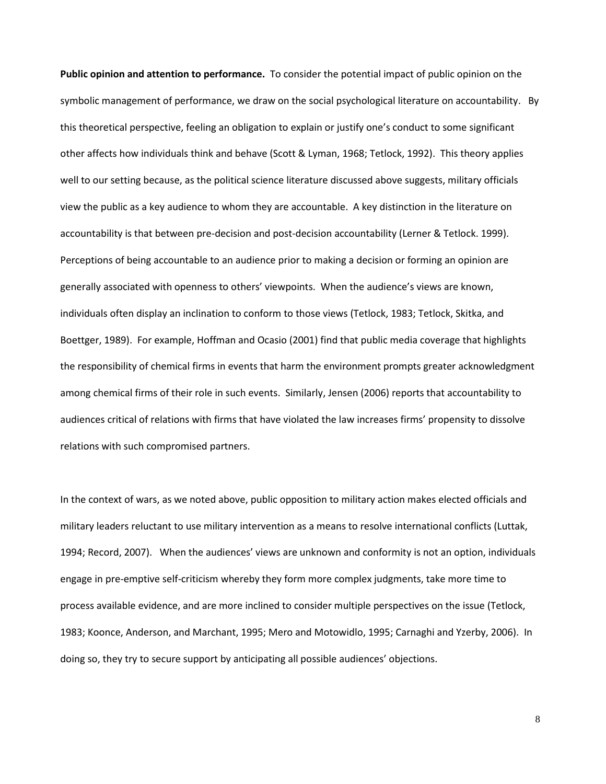**Public opinion and attention to performance.** To consider the potential impact of public opinion on the symbolic management of performance, we draw on the social psychological literature on accountability. By this theoretical perspective, feeling an obligation to explain or justify one's conduct to some significant other affects how individuals think and behave (Scott & Lyman, 1968; Tetlock, 1992). This theory applies well to our setting because, as the political science literature discussed above suggests, military officials view the public as a key audience to whom they are accountable. A key distinction in the literature on accountability is that between pre-decision and post-decision accountability (Lerner & Tetlock. 1999). Perceptions of being accountable to an audience prior to making a decision or forming an opinion are generally associated with openness to others' viewpoints. When the audience's views are known, individuals often display an inclination to conform to those views (Tetlock, 1983; Tetlock, Skitka, and Boettger, 1989). For example, Hoffman and Ocasio (2001) find that public media coverage that highlights the responsibility of chemical firms in events that harm the environment prompts greater acknowledgment among chemical firms of their role in such events. Similarly, Jensen (2006) reports that accountability to audiences critical of relations with firms that have violated the law increases firms' propensity to dissolve relations with such compromised partners.

In the context of wars, as we noted above, public opposition to military action makes elected officials and military leaders reluctant to use military intervention as a means to resolve international conflicts (Luttak, 1994; Record, 2007). When the audiences' views are unknown and conformity is not an option, individuals engage in pre-emptive self-criticism whereby they form more complex judgments, take more time to process available evidence, and are more inclined to consider multiple perspectives on the issue (Tetlock, 1983; Koonce, Anderson, and Marchant, 1995; Mero and Motowidlo, 1995; Carnaghi and Yzerby, 2006). In doing so, they try to secure support by anticipating all possible audiences' objections.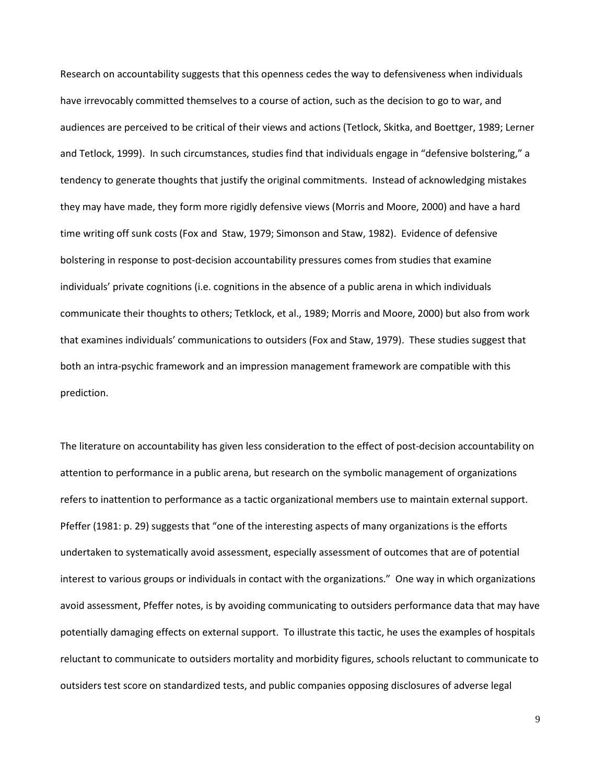Research on accountability suggests that this openness cedes the way to defensiveness when individuals have irrevocably committed themselves to a course of action, such as the decision to go to war, and audiences are perceived to be critical of their views and actions (Tetlock, Skitka, and Boettger, 1989; Lerner and Tetlock, 1999). In such circumstances, studies find that individuals engage in "defensive bolstering," a tendency to generate thoughts that justify the original commitments. Instead of acknowledging mistakes they may have made, they form more rigidly defensive views (Morris and Moore, 2000) and have a hard time writing off sunk costs (Fox and Staw, 1979; Simonson and Staw, 1982). Evidence of defensive bolstering in response to post-decision accountability pressures comes from studies that examine individuals' private cognitions (i.e. cognitions in the absence of a public arena in which individuals communicate their thoughts to others; Tetklock, et al., 1989; Morris and Moore, 2000) but also from work that examines individuals' communications to outsiders (Fox and Staw, 1979). These studies suggest that both an intra-psychic framework and an impression management framework are compatible with this prediction.

The literature on accountability has given less consideration to the effect of post-decision accountability on attention to performance in a public arena, but research on the symbolic management of organizations refers to inattention to performance as a tactic organizational members use to maintain external support. Pfeffer (1981: p. 29) suggests that "one of the interesting aspects of many organizations is the efforts undertaken to systematically avoid assessment, especially assessment of outcomes that are of potential interest to various groups or individuals in contact with the organizations." One way in which organizations avoid assessment, Pfeffer notes, is by avoiding communicating to outsiders performance data that may have potentially damaging effects on external support. To illustrate this tactic, he uses the examples of hospitals reluctant to communicate to outsiders mortality and morbidity figures, schools reluctant to communicate to outsiders test score on standardized tests, and public companies opposing disclosures of adverse legal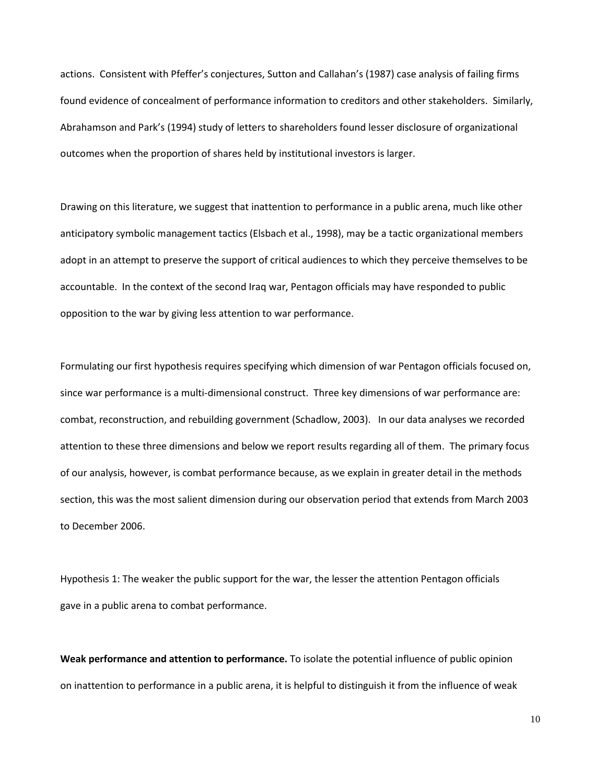actions. Consistent with Pfeffer's conjectures, Sutton and Callahan's (1987) case analysis of failing firms found evidence of concealment of performance information to creditors and other stakeholders. Similarly, Abrahamson and Park's (1994) study of letters to shareholders found lesser disclosure of organizational outcomes when the proportion of shares held by institutional investors is larger.

Drawing on this literature, we suggest that inattention to performance in a public arena, much like other anticipatory symbolic management tactics (Elsbach et al., 1998), may be a tactic organizational members adopt in an attempt to preserve the support of critical audiences to which they perceive themselves to be accountable. In the context of the second Iraq war, Pentagon officials may have responded to public opposition to the war by giving less attention to war performance.

Formulating our first hypothesis requires specifying which dimension of war Pentagon officials focused on, since war performance is a multi-dimensional construct. Three key dimensions of war performance are: combat, reconstruction, and rebuilding government (Schadlow, 2003). In our data analyses we recorded attention to these three dimensions and below we report results regarding all of them. The primary focus of our analysis, however, is combat performance because, as we explain in greater detail in the methods section, this was the most salient dimension during our observation period that extends from March 2003 to December 2006.

Hypothesis 1: The weaker the public support for the war, the lesser the attention Pentagon officials gave in a public arena to combat performance.

**Weak performance and attention to performance.** To isolate the potential influence of public opinion on inattention to performance in a public arena, it is helpful to distinguish it from the influence of weak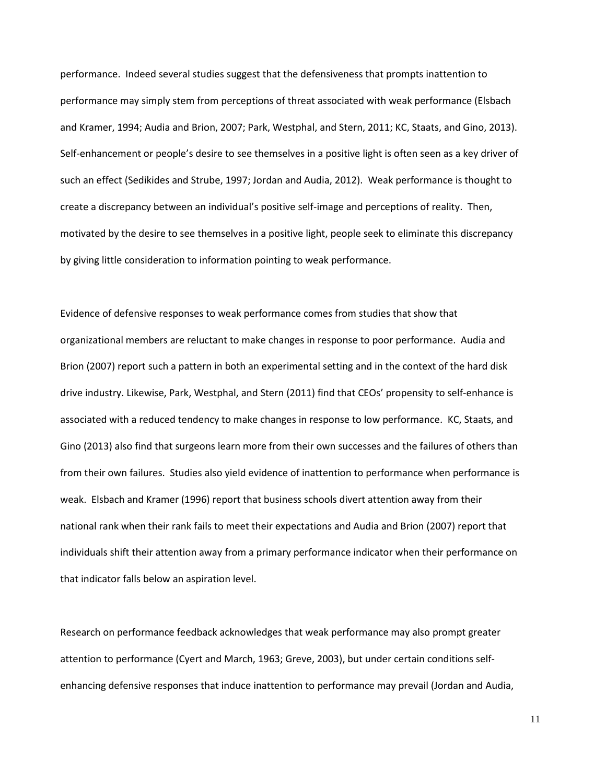performance. Indeed several studies suggest that the defensiveness that prompts inattention to performance may simply stem from perceptions of threat associated with weak performance (Elsbach and Kramer, 1994; Audia and Brion, 2007; Park, Westphal, and Stern, 2011; KC, Staats, and Gino, 2013). Self-enhancement or people's desire to see themselves in a positive light is often seen as a key driver of such an effect (Sedikides and Strube, 1997; Jordan and Audia, 2012). Weak performance is thought to create a discrepancy between an individual's positive self-image and perceptions of reality. Then, motivated by the desire to see themselves in a positive light, people seek to eliminate this discrepancy by giving little consideration to information pointing to weak performance.

Evidence of defensive responses to weak performance comes from studies that show that organizational members are reluctant to make changes in response to poor performance. Audia and Brion (2007) report such a pattern in both an experimental setting and in the context of the hard disk drive industry. Likewise, Park, Westphal, and Stern (2011) find that CEOs' propensity to self-enhance is associated with a reduced tendency to make changes in response to low performance. KC, Staats, and Gino (2013) also find that surgeons learn more from their own successes and the failures of others than from their own failures. Studies also yield evidence of inattention to performance when performance is weak. Elsbach and Kramer (1996) report that business schools divert attention away from their national rank when their rank fails to meet their expectations and Audia and Brion (2007) report that individuals shift their attention away from a primary performance indicator when their performance on that indicator falls below an aspiration level.

Research on performance feedback acknowledges that weak performance may also prompt greater attention to performance (Cyert and March, 1963; Greve, 2003), but under certain conditions selfenhancing defensive responses that induce inattention to performance may prevail (Jordan and Audia,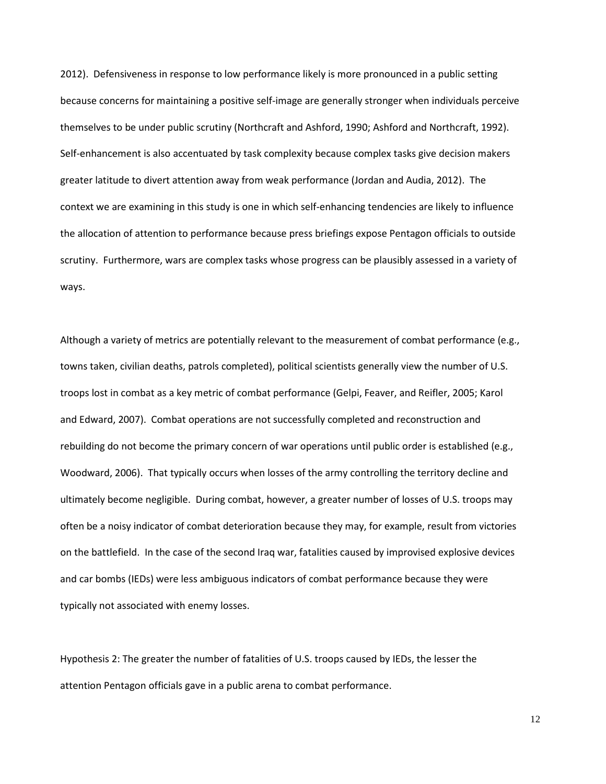2012). Defensiveness in response to low performance likely is more pronounced in a public setting because concerns for maintaining a positive self-image are generally stronger when individuals perceive themselves to be under public scrutiny (Northcraft and Ashford, 1990; Ashford and Northcraft, 1992). Self-enhancement is also accentuated by task complexity because complex tasks give decision makers greater latitude to divert attention away from weak performance (Jordan and Audia, 2012). The context we are examining in this study is one in which self-enhancing tendencies are likely to influence the allocation of attention to performance because press briefings expose Pentagon officials to outside scrutiny. Furthermore, wars are complex tasks whose progress can be plausibly assessed in a variety of ways.

Although a variety of metrics are potentially relevant to the measurement of combat performance (e.g., towns taken, civilian deaths, patrols completed), political scientists generally view the number of U.S. troops lost in combat as a key metric of combat performance (Gelpi, Feaver, and Reifler, 2005; Karol and Edward, 2007). Combat operations are not successfully completed and reconstruction and rebuilding do not become the primary concern of war operations until public order is established (e.g., Woodward, 2006). That typically occurs when losses of the army controlling the territory decline and ultimately become negligible. During combat, however, a greater number of losses of U.S. troops may often be a noisy indicator of combat deterioration because they may, for example, result from victories on the battlefield. In the case of the second Iraq war, fatalities caused by improvised explosive devices and car bombs (IEDs) were less ambiguous indicators of combat performance because they were typically not associated with enemy losses.

Hypothesis 2: The greater the number of fatalities of U.S. troops caused by IEDs, the lesser the attention Pentagon officials gave in a public arena to combat performance.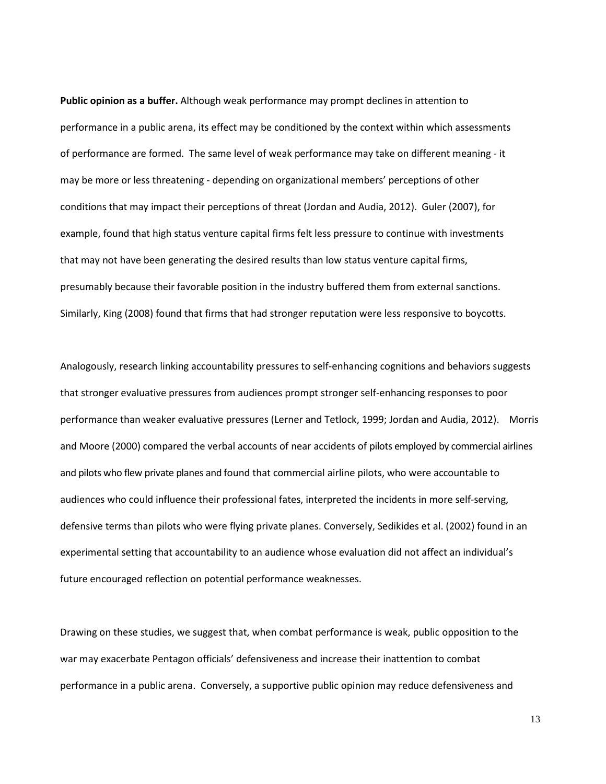**Public opinion as a buffer.** Although weak performance may prompt declines in attention to performance in a public arena, its effect may be conditioned by the context within which assessments of performance are formed. The same level of weak performance may take on different meaning - it may be more or less threatening - depending on organizational members' perceptions of other conditions that may impact their perceptions of threat (Jordan and Audia, 2012). Guler (2007), for example, found that high status venture capital firms felt less pressure to continue with investments that may not have been generating the desired results than low status venture capital firms, presumably because their favorable position in the industry buffered them from external sanctions. Similarly, King (2008) found that firms that had stronger reputation were less responsive to boycotts.

Analogously, research linking accountability pressures to self-enhancing cognitions and behaviors suggests that stronger evaluative pressures from audiences prompt stronger self-enhancing responses to poor performance than weaker evaluative pressures (Lerner and Tetlock, 1999; Jordan and Audia, 2012). Morris and Moore (2000) compared the verbal accounts of near accidents of pilots employed by commercial airlines and pilots who flew private planes and found that commercial airline pilots, who were accountable to audiences who could influence their professional fates, interpreted the incidents in more self-serving, defensive terms than pilots who were flying private planes. Conversely, Sedikides et al. (2002) found in an experimental setting that accountability to an audience whose evaluation did not affect an individual's future encouraged reflection on potential performance weaknesses.

Drawing on these studies, we suggest that, when combat performance is weak, public opposition to the war may exacerbate Pentagon officials' defensiveness and increase their inattention to combat performance in a public arena. Conversely, a supportive public opinion may reduce defensiveness and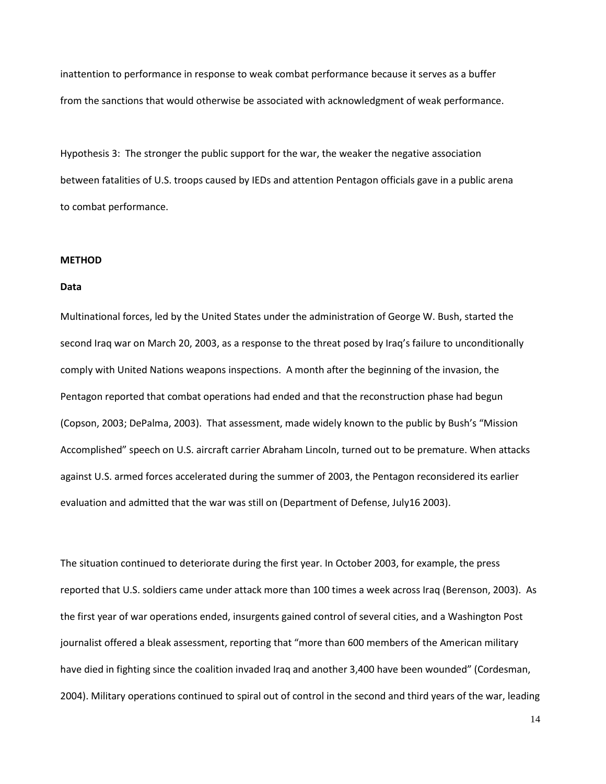inattention to performance in response to weak combat performance because it serves as a buffer from the sanctions that would otherwise be associated with acknowledgment of weak performance.

Hypothesis 3: The stronger the public support for the war, the weaker the negative association between fatalities of U.S. troops caused by IEDs and attention Pentagon officials gave in a public arena to combat performance.

## **METHOD**

#### **Data**

Multinational forces, led by the United States under the administration of George W. Bush, started the second Iraq war on March 20, 2003, as a response to the threat posed by Iraq's failure to unconditionally comply with United Nations weapons inspections. A month after the beginning of the invasion, the Pentagon reported that combat operations had ended and that the reconstruction phase had begun (Copson, 2003; DePalma, 2003). That assessment, made widely known to the public by Bush's "Mission Accomplished" speech on U.S. aircraft carrier Abraham Lincoln, turned out to be premature. When attacks against U.S. armed forces accelerated during the summer of 2003, the Pentagon reconsidered its earlier evaluation and admitted that the war was still on (Department of Defense, July16 2003).

The situation continued to deteriorate during the first year. In October 2003, for example, the press reported that U.S. soldiers came under attack more than 100 times a week across Iraq (Berenson, 2003). As the first year of war operations ended, insurgents gained control of several cities, and a Washington Post journalist offered a bleak assessment, reporting that "more than 600 members of the American military have died in fighting since the coalition invaded Iraq and another 3,400 have been wounded" (Cordesman, 2004). Military operations continued to spiral out of control in the second and third years of the war, leading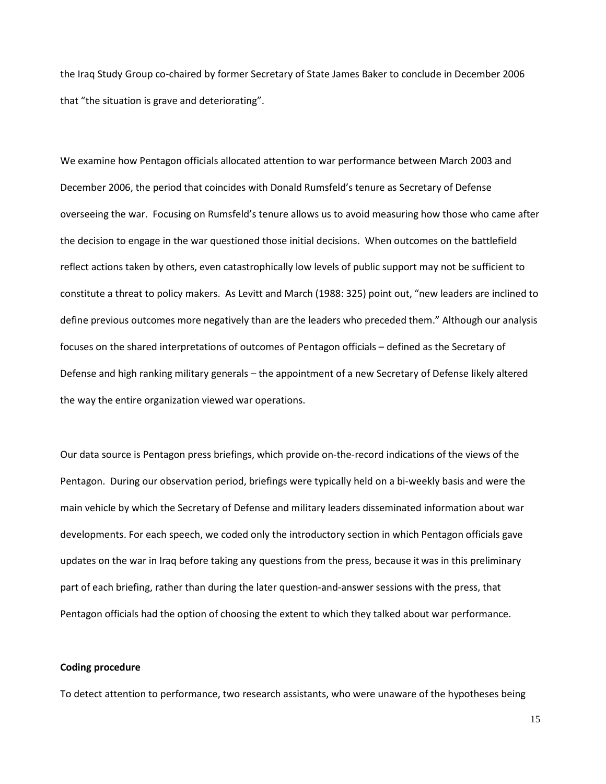the Iraq Study Group co-chaired by former Secretary of State James Baker to conclude in December 2006 that "the situation is grave and deteriorating".

We examine how Pentagon officials allocated attention to war performance between March 2003 and December 2006, the period that coincides with Donald Rumsfeld's tenure as Secretary of Defense overseeing the war. Focusing on Rumsfeld's tenure allows us to avoid measuring how those who came after the decision to engage in the war questioned those initial decisions. When outcomes on the battlefield reflect actions taken by others, even catastrophically low levels of public support may not be sufficient to constitute a threat to policy makers. As Levitt and March (1988: 325) point out, "new leaders are inclined to define previous outcomes more negatively than are the leaders who preceded them." Although our analysis focuses on the shared interpretations of outcomes of Pentagon officials – defined as the Secretary of Defense and high ranking military generals – the appointment of a new Secretary of Defense likely altered the way the entire organization viewed war operations.

Our data source is Pentagon press briefings, which provide on-the-record indications of the views of the Pentagon. During our observation period, briefings were typically held on a bi-weekly basis and were the main vehicle by which the Secretary of Defense and military leaders disseminated information about war developments. For each speech, we coded only the introductory section in which Pentagon officials gave updates on the war in Iraq before taking any questions from the press, because it was in this preliminary part of each briefing, rather than during the later question-and-answer sessions with the press, that Pentagon officials had the option of choosing the extent to which they talked about war performance.

### **Coding procedure**

To detect attention to performance, two research assistants, who were unaware of the hypotheses being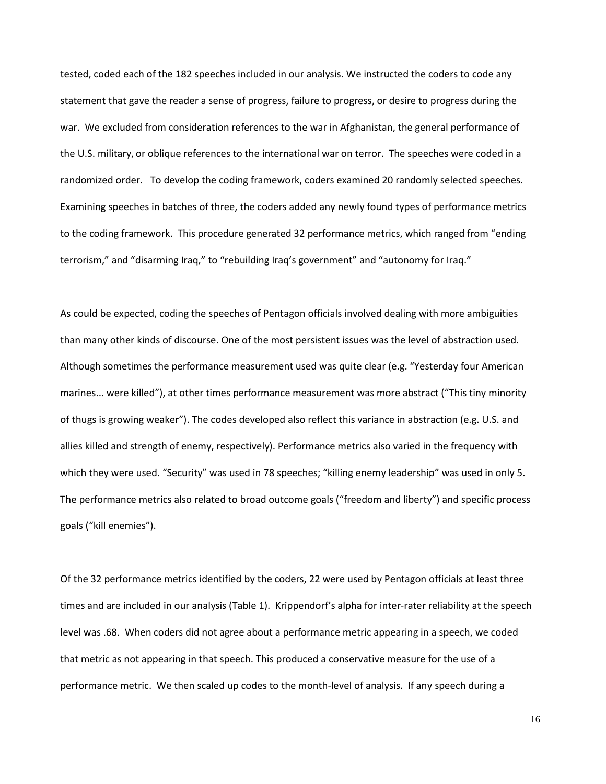tested, coded each of the 182 speeches included in our analysis. We instructed the coders to code any statement that gave the reader a sense of progress, failure to progress, or desire to progress during the war. We excluded from consideration references to the war in Afghanistan, the general performance of the U.S. military, or oblique references to the international war on terror. The speeches were coded in a randomized order. To develop the coding framework, coders examined 20 randomly selected speeches. Examining speeches in batches of three, the coders added any newly found types of performance metrics to the coding framework. This procedure generated 32 performance metrics, which ranged from "ending terrorism," and "disarming Iraq," to "rebuilding Iraq's government" and "autonomy for Iraq."

As could be expected, coding the speeches of Pentagon officials involved dealing with more ambiguities than many other kinds of discourse. One of the most persistent issues was the level of abstraction used. Although sometimes the performance measurement used was quite clear (e.g. "Yesterday four American marines... were killed"), at other times performance measurement was more abstract ("This tiny minority of thugs is growing weaker"). The codes developed also reflect this variance in abstraction (e.g. U.S. and allies killed and strength of enemy, respectively). Performance metrics also varied in the frequency with which they were used. "Security" was used in 78 speeches; "killing enemy leadership" was used in only 5. The performance metrics also related to broad outcome goals ("freedom and liberty") and specific process goals ("kill enemies").

Of the 32 performance metrics identified by the coders, 22 were used by Pentagon officials at least three times and are included in our analysis (Table 1). Krippendorf's alpha for inter-rater reliability at the speech level was .68. When coders did not agree about a performance metric appearing in a speech, we coded that metric as not appearing in that speech. This produced a conservative measure for the use of a performance metric. We then scaled up codes to the month-level of analysis. If any speech during a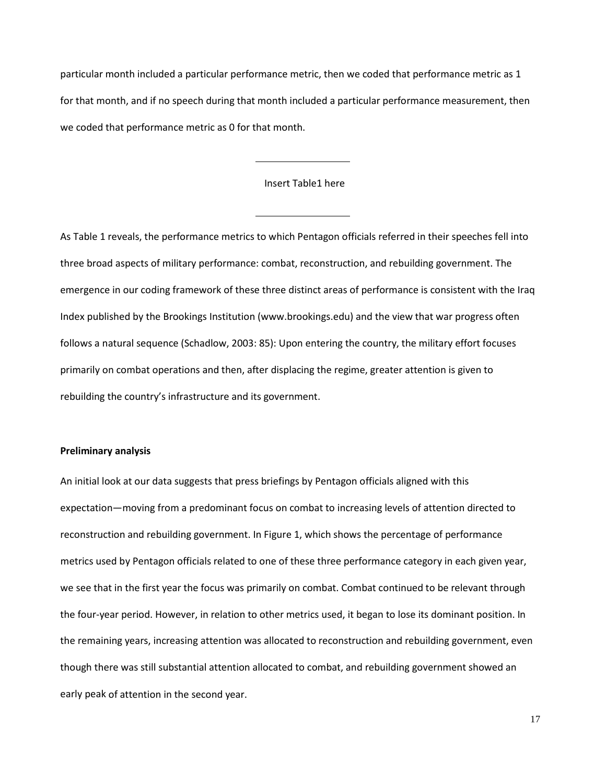particular month included a particular performance metric, then we coded that performance metric as 1 for that month, and if no speech during that month included a particular performance measurement, then we coded that performance metric as 0 for that month.

## Insert Table1 here

As Table 1 reveals, the performance metrics to which Pentagon officials referred in their speeches fell into three broad aspects of military performance: combat, reconstruction, and rebuilding government. The emergence in our coding framework of these three distinct areas of performance is consistent with the Iraq Index published by the Brookings Institution [\(www.brookings.edu\)](http://www.brookings.edu/) and the view that war progress often follows a natural sequence (Schadlow, 2003: 85): Upon entering the country, the military effort focuses primarily on combat operations and then, after displacing the regime, greater attention is given to rebuilding the country's infrastructure and its government.

## **Preliminary analysis**

An initial look at our data suggests that press briefings by Pentagon officials aligned with this expectation—moving from a predominant focus on combat to increasing levels of attention directed to reconstruction and rebuilding government. In Figure 1, which shows the percentage of performance metrics used by Pentagon officials related to one of these three performance category in each given year, we see that in the first year the focus was primarily on combat. Combat continued to be relevant through the four-year period. However, in relation to other metrics used, it began to lose its dominant position. In the remaining years, increasing attention was allocated to reconstruction and rebuilding government, even though there was still substantial attention allocated to combat, and rebuilding government showed an early peak of attention in the second year.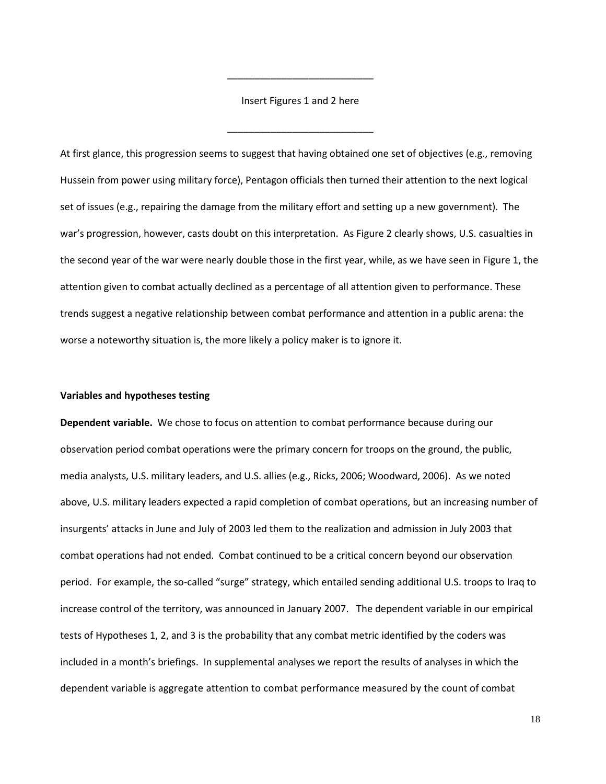Insert Figures 1 and 2 here

\_\_\_\_\_\_\_\_\_\_\_\_\_\_\_\_\_\_\_\_\_\_\_\_\_\_\_

\_\_\_\_\_\_\_\_\_\_\_\_\_\_\_\_\_\_\_\_\_\_\_\_\_\_\_

At first glance, this progression seems to suggest that having obtained one set of objectives (e.g., removing Hussein from power using military force), Pentagon officials then turned their attention to the next logical set of issues (e.g., repairing the damage from the military effort and setting up a new government). The war's progression, however, casts doubt on this interpretation. As Figure 2 clearly shows, U.S. casualties in the second year of the war were nearly double those in the first year, while, as we have seen in Figure 1, the attention given to combat actually declined as a percentage of all attention given to performance. These trends suggest a negative relationship between combat performance and attention in a public arena: the worse a noteworthy situation is, the more likely a policy maker is to ignore it.

#### **Variables and hypotheses testing**

**Dependent variable.** We chose to focus on attention to combat performance because during our observation period combat operations were the primary concern for troops on the ground, the public, media analysts, U.S. military leaders, and U.S. allies (e.g., Ricks, 2006; Woodward, 2006). As we noted above, U.S. military leaders expected a rapid completion of combat operations, but an increasing number of insurgents' attacks in June and July of 2003 led them to the realization and admission in July 2003 that combat operations had not ended. Combat continued to be a critical concern beyond our observation period. For example, the so-called "surge" strategy, which entailed sending additional U.S. troops to Iraq to increase control of the territory, was announced in January 2007. The dependent variable in our empirical tests of Hypotheses 1, 2, and 3 is the probability that any combat metric identified by the coders was included in a month's briefings. In supplemental analyses we report the results of analyses in which the dependent variable is aggregate attention to combat performance measured by the count of combat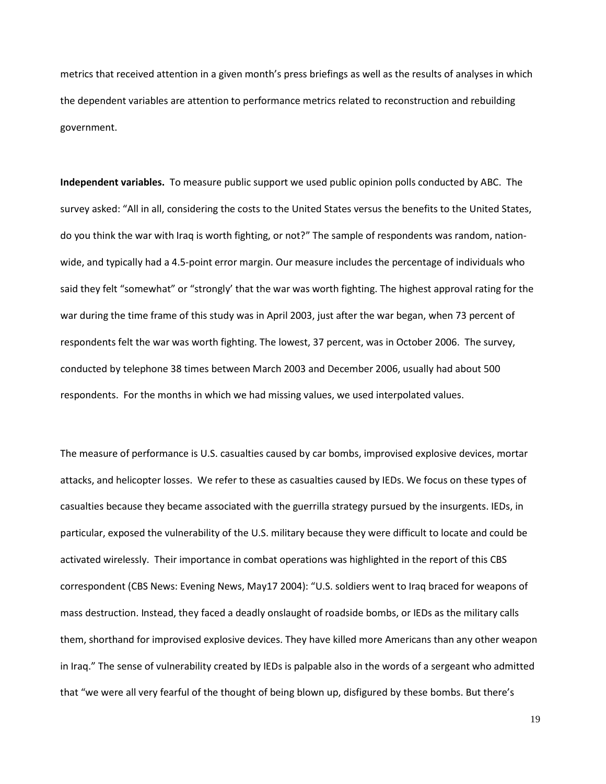metrics that received attention in a given month's press briefings as well as the results of analyses in which the dependent variables are attention to performance metrics related to reconstruction and rebuilding government.

**Independent variables.** To measure public support we used public opinion polls conducted by ABC. The survey asked: "All in all, considering the costs to the United States versus the benefits to the United States, do you think the war with Iraq is worth fighting, or not?" The sample of respondents was random, nationwide, and typically had a 4.5-point error margin. Our measure includes the percentage of individuals who said they felt "somewhat" or "strongly' that the war was worth fighting. The highest approval rating for the war during the time frame of this study was in April 2003, just after the war began, when 73 percent of respondents felt the war was worth fighting. The lowest, 37 percent, was in October 2006. The survey, conducted by telephone 38 times between March 2003 and December 2006, usually had about 500 respondents. For the months in which we had missing values, we used interpolated values.

The measure of performance is U.S. casualties caused by car bombs, improvised explosive devices, mortar attacks, and helicopter losses. We refer to these as casualties caused by IEDs. We focus on these types of casualties because they became associated with the guerrilla strategy pursued by the insurgents. IEDs, in particular, exposed the vulnerability of the U.S. military because they were difficult to locate and could be activated wirelessly. Their importance in combat operations was highlighted in the report of this CBS correspondent (CBS News: Evening News, May17 2004): "U.S. soldiers went to Iraq braced for weapons of mass destruction. Instead, they faced a deadly onslaught of roadside bombs, or IEDs as the military calls them, shorthand for improvised explosive devices. They have killed more Americans than any other weapon in Iraq." The sense of vulnerability created by IEDs is palpable also in the words of a sergeant who admitted that "we were all very fearful of the thought of being blown up, disfigured by these bombs. But there's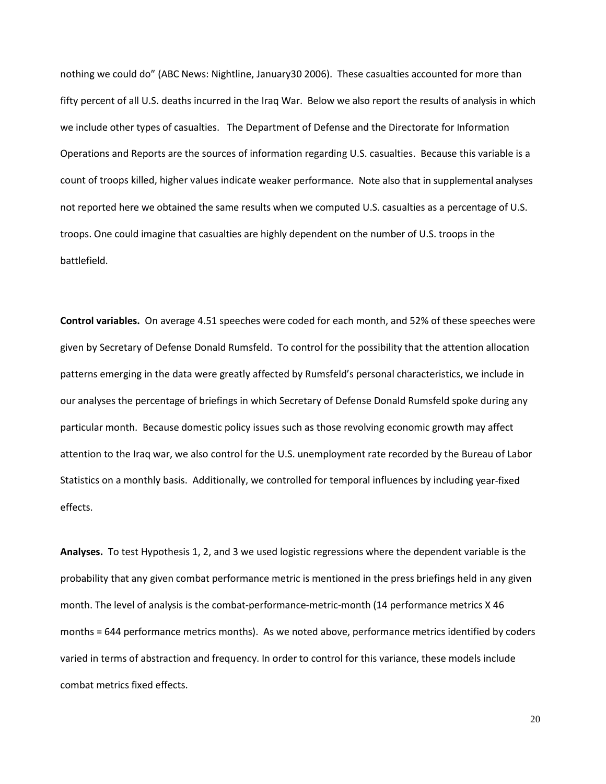nothing we could do" (ABC News: Nightline, January30 2006). These casualties accounted for more than fifty percent of all U.S. deaths incurred in the Iraq War. Below we also report the results of analysis in which we include other types of casualties. The Department of Defense and the Directorate for Information Operations and Reports are the sources of information regarding U.S. casualties. Because this variable is a count of troops killed, higher values indicate weaker performance. Note also that in supplemental analyses not reported here we obtained the same results when we computed U.S. casualties as a percentage of U.S. troops. One could imagine that casualties are highly dependent on the number of U.S. troops in the battlefield.

**Control variables.** On average 4.51 speeches were coded for each month, and 52% of these speeches were given by Secretary of Defense Donald Rumsfeld. To control for the possibility that the attention allocation patterns emerging in the data were greatly affected by Rumsfeld's personal characteristics, we include in our analyses the percentage of briefings in which Secretary of Defense Donald Rumsfeld spoke during any particular month. Because domestic policy issues such as those revolving economic growth may affect attention to the Iraq war, we also control for the U.S. unemployment rate recorded by the Bureau of Labor Statistics on a monthly basis. Additionally, we controlled for temporal influences by including year-fixed effects.

**Analyses.** To test Hypothesis 1, 2, and 3 we used logistic regressions where the dependent variable is the probability that any given combat performance metric is mentioned in the press briefings held in any given month. The level of analysis is the combat-performance-metric-month (14 performance metrics X 46 months = 644 performance metrics months). As we noted above, performance metrics identified by coders varied in terms of abstraction and frequency. In order to control for this variance, these models include combat metrics fixed effects.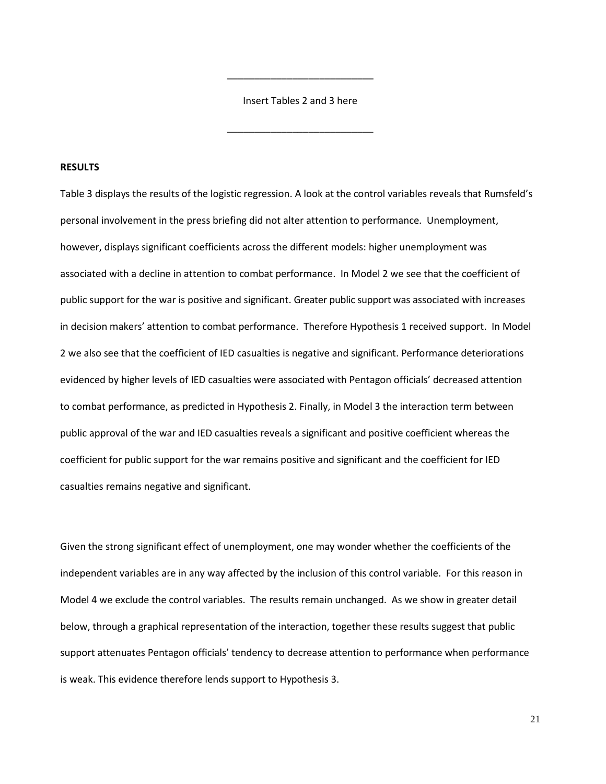Insert Tables 2 and 3 here

\_\_\_\_\_\_\_\_\_\_\_\_\_\_\_\_\_\_\_\_\_\_\_\_\_\_\_

\_\_\_\_\_\_\_\_\_\_\_\_\_\_\_\_\_\_\_\_\_\_\_\_\_\_\_

#### **RESULTS**

Table 3 displays the results of the logistic regression. A look at the control variables reveals that Rumsfeld's personal involvement in the press briefing did not alter attention to performance. Unemployment, however, displays significant coefficients across the different models: higher unemployment was associated with a decline in attention to combat performance. In Model 2 we see that the coefficient of public support for the war is positive and significant. Greater public support was associated with increases in decision makers' attention to combat performance. Therefore Hypothesis 1 received support. In Model 2 we also see that the coefficient of IED casualties is negative and significant. Performance deteriorations evidenced by higher levels of IED casualties were associated with Pentagon officials' decreased attention to combat performance, as predicted in Hypothesis 2. Finally, in Model 3 the interaction term between public approval of the war and IED casualties reveals a significant and positive coefficient whereas the coefficient for public support for the war remains positive and significant and the coefficient for IED casualties remains negative and significant.

Given the strong significant effect of unemployment, one may wonder whether the coefficients of the independent variables are in any way affected by the inclusion of this control variable. For this reason in Model 4 we exclude the control variables. The results remain unchanged. As we show in greater detail below, through a graphical representation of the interaction, together these results suggest that public support attenuates Pentagon officials' tendency to decrease attention to performance when performance is weak. This evidence therefore lends support to Hypothesis 3.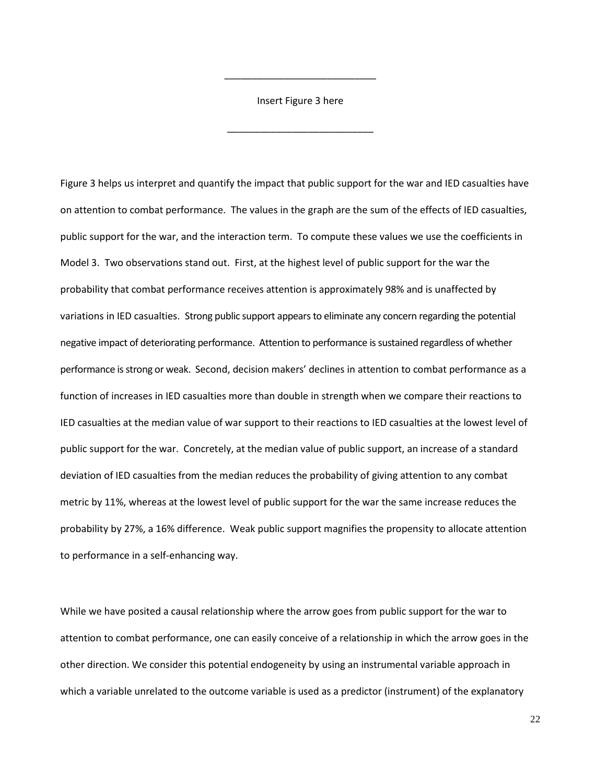Insert Figure 3 here

\_\_\_\_\_\_\_\_\_\_\_\_\_\_\_\_\_\_\_\_\_\_\_\_\_\_\_

\_\_\_\_\_\_\_\_\_\_\_\_\_\_\_\_\_\_\_\_\_\_\_\_\_\_\_\_

Figure 3 helps us interpret and quantify the impact that public support for the war and IED casualties have on attention to combat performance. The values in the graph are the sum of the effects of IED casualties, public support for the war, and the interaction term. To compute these values we use the coefficients in Model 3. Two observations stand out. First, at the highest level of public support for the war the probability that combat performance receives attention is approximately 98% and is unaffected by variations in IED casualties. Strong public support appears to eliminate any concern regarding the potential negative impact of deteriorating performance. Attention to performance is sustained regardless of whether performance is strong or weak. Second, decision makers' declines in attention to combat performance as a function of increases in IED casualties more than double in strength when we compare their reactions to IED casualties at the median value of war support to their reactions to IED casualties at the lowest level of public support for the war. Concretely, at the median value of public support, an increase of a standard deviation of IED casualties from the median reduces the probability of giving attention to any combat metric by 11%, whereas at the lowest level of public support for the war the same increase reduces the probability by 27%, a 16% difference. Weak public support magnifies the propensity to allocate attention to performance in a self-enhancing way.

While we have posited a causal relationship where the arrow goes from public support for the war to attention to combat performance, one can easily conceive of a relationship in which the arrow goes in the other direction. We consider this potential endogeneity by using an instrumental variable approach in which a variable unrelated to the outcome variable is used as a predictor (instrument) of the explanatory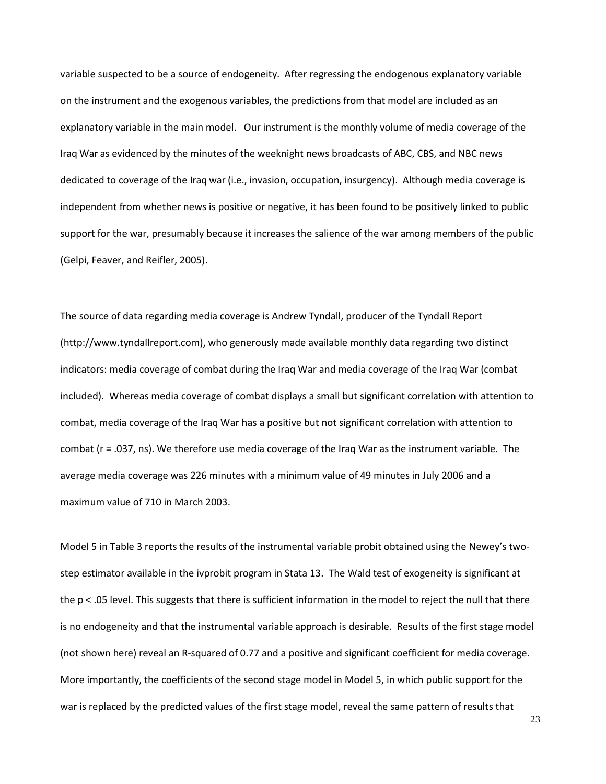variable suspected to be a source of endogeneity. After regressing the endogenous explanatory variable on the instrument and the exogenous variables, the predictions from that model are included as an explanatory variable in the main model. Our instrument is the monthly volume of media coverage of the Iraq War as evidenced by the minutes of the weeknight news broadcasts of ABC, CBS, and NBC news dedicated to coverage of the Iraq war (i.e., invasion, occupation, insurgency). Although media coverage is independent from whether news is positive or negative, it has been found to be positively linked to public support for the war, presumably because it increases the salience of the war among members of the public (Gelpi, Feaver, and Reifler, 2005).

The source of data regarding media coverage is Andrew Tyndall, producer of the Tyndall Report [\(http://www.tyndallreport.com\)](http://www.tyndallreport.com/), who generously made available monthly data regarding two distinct indicators: media coverage of combat during the Iraq War and media coverage of the Iraq War (combat included). Whereas media coverage of combat displays a small but significant correlation with attention to combat, media coverage of the Iraq War has a positive but not significant correlation with attention to combat (r = .037, ns). We therefore use media coverage of the Iraq War as the instrument variable. The average media coverage was 226 minutes with a minimum value of 49 minutes in July 2006 and a maximum value of 710 in March 2003.

Model 5 in Table 3 reports the results of the instrumental variable probit obtained using the Newey's twostep estimator available in the ivprobit program in Stata 13. The Wald test of exogeneity is significant at the  $p < 0.05$  level. This suggests that there is sufficient information in the model to reject the null that there is no endogeneity and that the instrumental variable approach is desirable. Results of the first stage model (not shown here) reveal an R-squared of 0.77 and a positive and significant coefficient for media coverage. More importantly, the coefficients of the second stage model in Model 5, in which public support for the war is replaced by the predicted values of the first stage model, reveal the same pattern of results that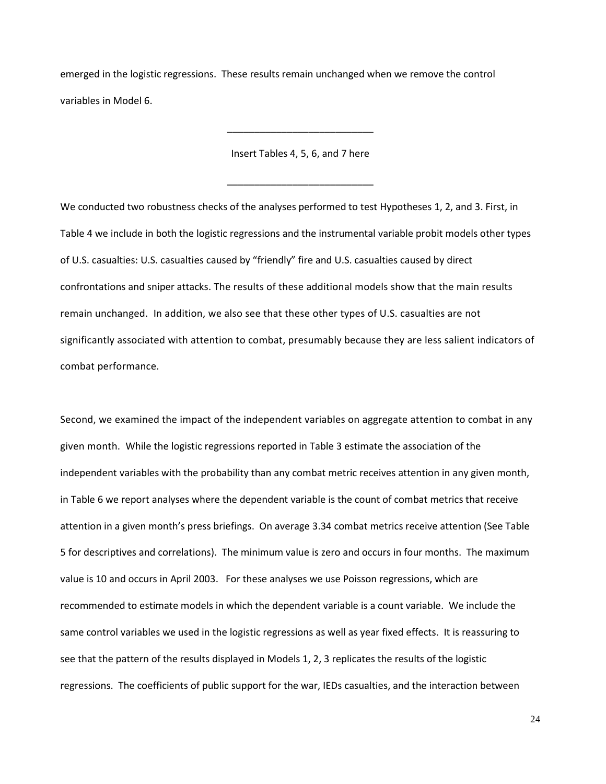emerged in the logistic regressions. These results remain unchanged when we remove the control variables in Model 6.

Insert Tables 4, 5, 6, and 7 here

\_\_\_\_\_\_\_\_\_\_\_\_\_\_\_\_\_\_\_\_\_\_\_\_\_\_\_

\_\_\_\_\_\_\_\_\_\_\_\_\_\_\_\_\_\_\_\_\_\_\_\_\_\_\_

We conducted two robustness checks of the analyses performed to test Hypotheses 1, 2, and 3. First, in Table 4 we include in both the logistic regressions and the instrumental variable probit models other types of U.S. casualties: U.S. casualties caused by "friendly" fire and U.S. casualties caused by direct confrontations and sniper attacks. The results of these additional models show that the main results remain unchanged. In addition, we also see that these other types of U.S. casualties are not significantly associated with attention to combat, presumably because they are less salient indicators of combat performance.

Second, we examined the impact of the independent variables on aggregate attention to combat in any given month. While the logistic regressions reported in Table 3 estimate the association of the independent variables with the probability than any combat metric receives attention in any given month, in Table 6 we report analyses where the dependent variable is the count of combat metrics that receive attention in a given month's press briefings. On average 3.34 combat metrics receive attention (See Table 5 for descriptives and correlations). The minimum value is zero and occurs in four months. The maximum value is 10 and occurs in April 2003. For these analyses we use Poisson regressions, which are recommended to estimate models in which the dependent variable is a count variable. We include the same control variables we used in the logistic regressions as well as year fixed effects. It is reassuring to see that the pattern of the results displayed in Models 1, 2, 3 replicates the results of the logistic regressions. The coefficients of public support for the war, IEDs casualties, and the interaction between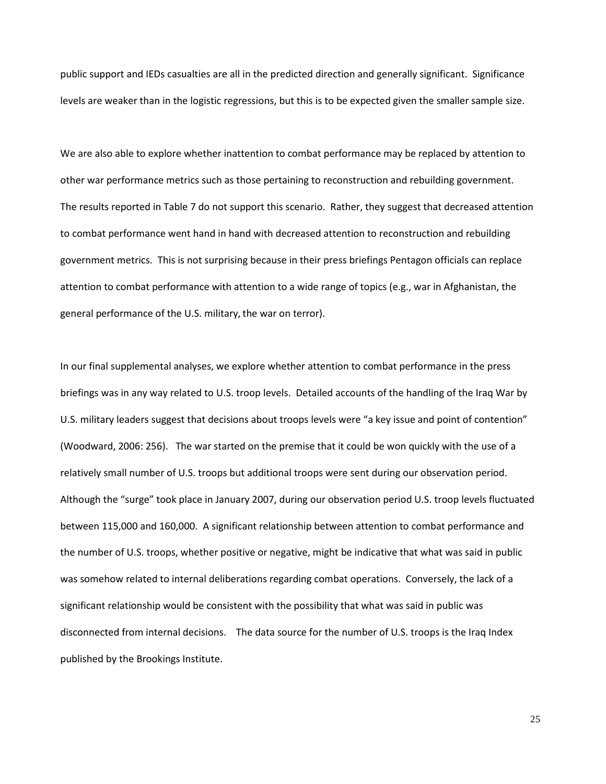public support and IEDs casualties are all in the predicted direction and generally significant. Significance levels are weaker than in the logistic regressions, but this is to be expected given the smaller sample size.

We are also able to explore whether inattention to combat performance may be replaced by attention to other war performance metrics such as those pertaining to reconstruction and rebuilding government. The results reported in Table 7 do not support this scenario. Rather, they suggest that decreased attention to combat performance went hand in hand with decreased attention to reconstruction and rebuilding government metrics. This is not surprising because in their press briefings Pentagon officials can replace attention to combat performance with attention to a wide range of topics (e.g., war in Afghanistan, the general performance of the U.S. military, the war on terror).

In our final supplemental analyses, we explore whether attention to combat performance in the press briefings was in any way related to U.S. troop levels. Detailed accounts of the handling of the Iraq War by U.S. military leaders suggest that decisions about troops levels were "a key issue and point of contention" (Woodward, 2006: 256). The war started on the premise that it could be won quickly with the use of a relatively small number of U.S. troops but additional troops were sent during our observation period. Although the "surge" took place in January 2007, during our observation period U.S. troop levels fluctuated between 115,000 and 160,000. A significant relationship between attention to combat performance and the number of U.S. troops, whether positive or negative, might be indicative that what was said in public was somehow related to internal deliberations regarding combat operations. Conversely, the lack of a significant relationship would be consistent with the possibility that what was said in public was disconnected from internal decisions. The data source for the number of U.S. troops is the Iraq Index published by the Brookings Institute.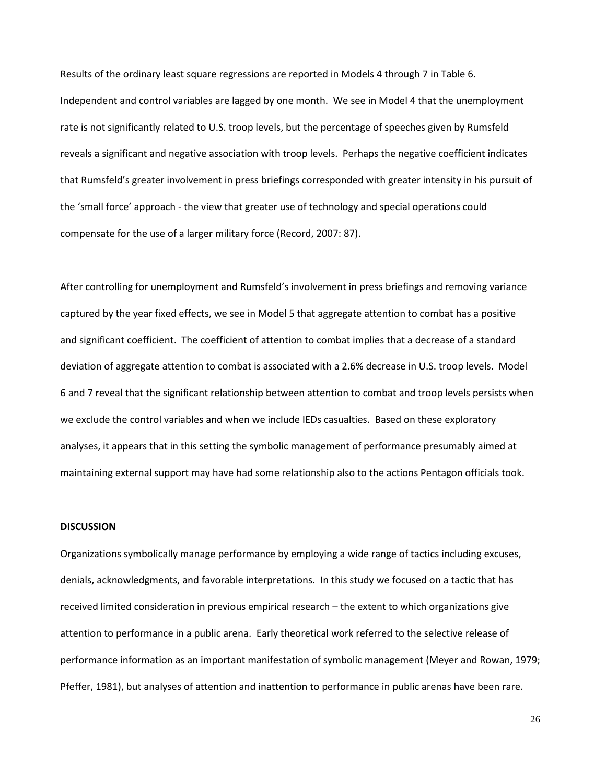Results of the ordinary least square regressions are reported in Models 4 through 7 in Table 6. Independent and control variables are lagged by one month. We see in Model 4 that the unemployment rate is not significantly related to U.S. troop levels, but the percentage of speeches given by Rumsfeld reveals a significant and negative association with troop levels. Perhaps the negative coefficient indicates that Rumsfeld's greater involvement in press briefings corresponded with greater intensity in his pursuit of the 'small force' approach - the view that greater use of technology and special operations could compensate for the use of a larger military force (Record, 2007: 87).

After controlling for unemployment and Rumsfeld's involvement in press briefings and removing variance captured by the year fixed effects, we see in Model 5 that aggregate attention to combat has a positive and significant coefficient. The coefficient of attention to combat implies that a decrease of a standard deviation of aggregate attention to combat is associated with a 2.6% decrease in U.S. troop levels. Model 6 and 7 reveal that the significant relationship between attention to combat and troop levels persists when we exclude the control variables and when we include IEDs casualties. Based on these exploratory analyses, it appears that in this setting the symbolic management of performance presumably aimed at maintaining external support may have had some relationship also to the actions Pentagon officials took.

## **DISCUSSION**

Organizations symbolically manage performance by employing a wide range of tactics including excuses, denials, acknowledgments, and favorable interpretations. In this study we focused on a tactic that has received limited consideration in previous empirical research – the extent to which organizations give attention to performance in a public arena. Early theoretical work referred to the selective release of performance information as an important manifestation of symbolic management (Meyer and Rowan, 1979; Pfeffer, 1981), but analyses of attention and inattention to performance in public arenas have been rare.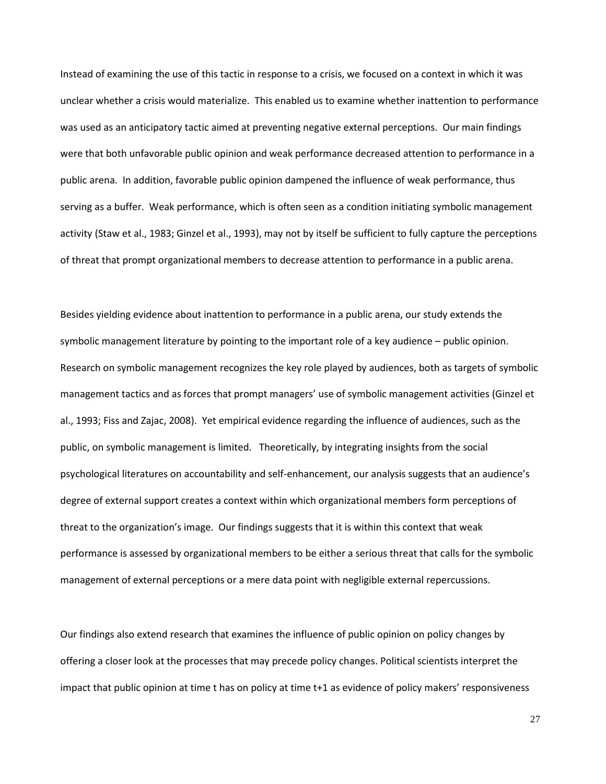Instead of examining the use of this tactic in response to a crisis, we focused on a context in which it was unclear whether a crisis would materialize. This enabled us to examine whether inattention to performance was used as an anticipatory tactic aimed at preventing negative external perceptions. Our main findings were that both unfavorable public opinion and weak performance decreased attention to performance in a public arena. In addition, favorable public opinion dampened the influence of weak performance, thus serving as a buffer. Weak performance, which is often seen as a condition initiating symbolic management activity (Staw et al., 1983; Ginzel et al., 1993), may not by itself be sufficient to fully capture the perceptions of threat that prompt organizational members to decrease attention to performance in a public arena.

Besides yielding evidence about inattention to performance in a public arena, our study extends the symbolic management literature by pointing to the important role of a key audience – public opinion. Research on symbolic management recognizes the key role played by audiences, both as targets of symbolic management tactics and as forces that prompt managers' use of symbolic management activities (Ginzel et al., 1993; Fiss and Zajac, 2008). Yet empirical evidence regarding the influence of audiences, such as the public, on symbolic management is limited. Theoretically, by integrating insights from the social psychological literatures on accountability and self-enhancement, our analysis suggests that an audience's degree of external support creates a context within which organizational members form perceptions of threat to the organization's image. Our findings suggests that it is within this context that weak performance is assessed by organizational members to be either a serious threat that calls for the symbolic management of external perceptions or a mere data point with negligible external repercussions.

Our findings also extend research that examines the influence of public opinion on policy changes by offering a closer look at the processes that may precede policy changes. Political scientists interpret the impact that public opinion at time t has on policy at time t+1 as evidence of policy makers' responsiveness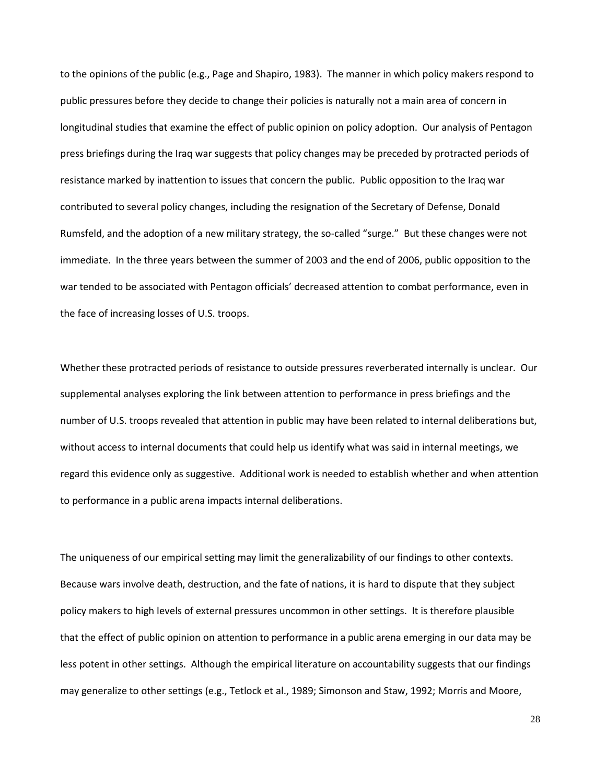to the opinions of the public (e.g., Page and Shapiro, 1983). The manner in which policy makers respond to public pressures before they decide to change their policies is naturally not a main area of concern in longitudinal studies that examine the effect of public opinion on policy adoption. Our analysis of Pentagon press briefings during the Iraq war suggests that policy changes may be preceded by protracted periods of resistance marked by inattention to issues that concern the public. Public opposition to the Iraq war contributed to several policy changes, including the resignation of the Secretary of Defense, Donald Rumsfeld, and the adoption of a new military strategy, the so-called "surge." But these changes were not immediate. In the three years between the summer of 2003 and the end of 2006, public opposition to the war tended to be associated with Pentagon officials' decreased attention to combat performance, even in the face of increasing losses of U.S. troops.

Whether these protracted periods of resistance to outside pressures reverberated internally is unclear. Our supplemental analyses exploring the link between attention to performance in press briefings and the number of U.S. troops revealed that attention in public may have been related to internal deliberations but, without access to internal documents that could help us identify what was said in internal meetings, we regard this evidence only as suggestive. Additional work is needed to establish whether and when attention to performance in a public arena impacts internal deliberations.

The uniqueness of our empirical setting may limit the generalizability of our findings to other contexts. Because wars involve death, destruction, and the fate of nations, it is hard to dispute that they subject policy makers to high levels of external pressures uncommon in other settings. It is therefore plausible that the effect of public opinion on attention to performance in a public arena emerging in our data may be less potent in other settings. Although the empirical literature on accountability suggests that our findings may generalize to other settings (e.g., Tetlock et al., 1989; Simonson and Staw, 1992; Morris and Moore,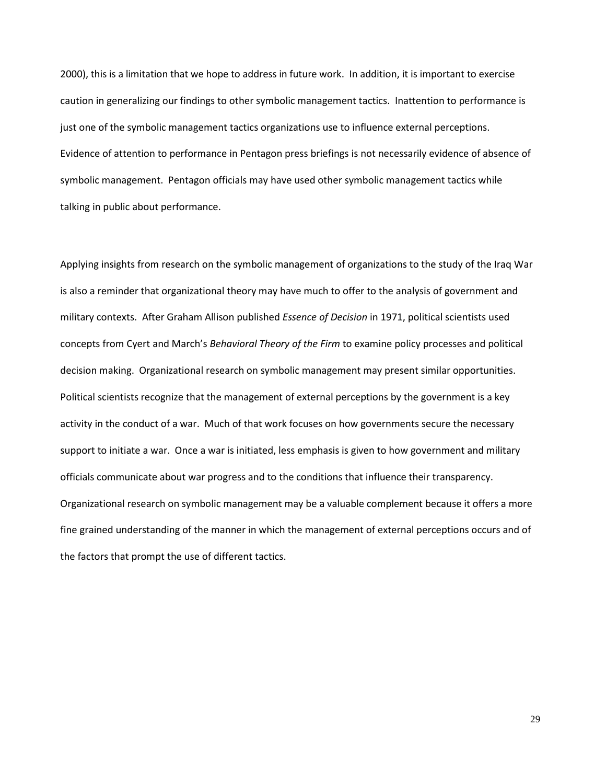2000), this is a limitation that we hope to address in future work. In addition, it is important to exercise caution in generalizing our findings to other symbolic management tactics. Inattention to performance is just one of the symbolic management tactics organizations use to influence external perceptions. Evidence of attention to performance in Pentagon press briefings is not necessarily evidence of absence of symbolic management. Pentagon officials may have used other symbolic management tactics while talking in public about performance.

Applying insights from research on the symbolic management of organizations to the study of the Iraq War is also a reminder that organizational theory may have much to offer to the analysis of government and military contexts. After Graham Allison published *Essence of Decision* in 1971, political scientists used concepts from Cyert and March's *Behavioral Theory of the Firm* to examine policy processes and political decision making. Organizational research on symbolic management may present similar opportunities. Political scientists recognize that the management of external perceptions by the government is a key activity in the conduct of a war. Much of that work focuses on how governments secure the necessary support to initiate a war. Once a war is initiated, less emphasis is given to how government and military officials communicate about war progress and to the conditions that influence their transparency. Organizational research on symbolic management may be a valuable complement because it offers a more fine grained understanding of the manner in which the management of external perceptions occurs and of the factors that prompt the use of different tactics.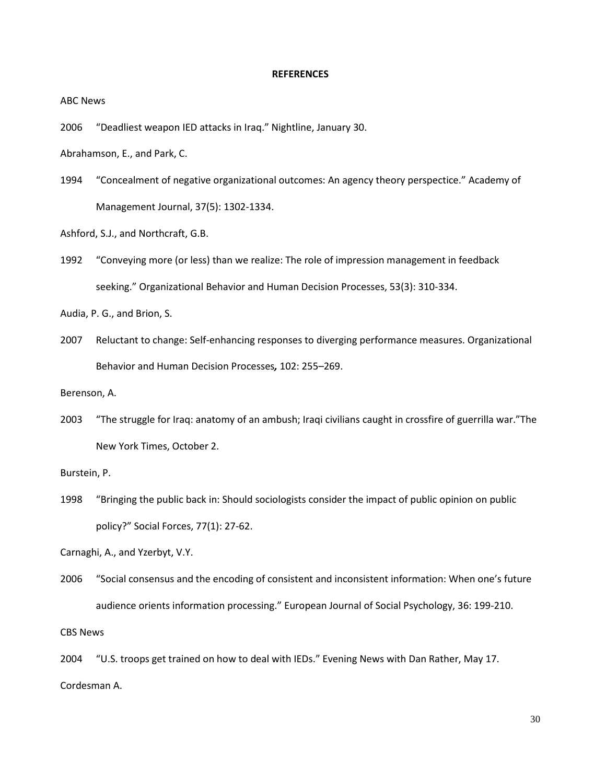### **REFERENCES**

ABC News

2006 "Deadliest weapon IED attacks in Iraq." Nightline, January 30.

Abrahamson, E., and Park, C.

1994 "Concealment of negative organizational outcomes: An agency theory perspectice." Academy of Management Journal, 37(5): 1302-1334.

Ashford, S.J., and Northcraft, G.B.

1992 "Conveying more (or less) than we realize: The role of impression management in feedback seeking." Organizational Behavior and Human Decision Processes, 53(3): 310-334.

Audia, P. G., and Brion, S.

2007 Reluctant to change: Self-enhancing responses to diverging performance measures. Organizational Behavior and Human Decision Processes*,* 102: 255–269.

Berenson, A.

2003 "The struggle for Iraq: anatomy of an ambush; Iraqi civilians caught in crossfire of guerrilla war."The New York Times, October 2.

Burstein, P.

1998 "Bringing the public back in: Should sociologists consider the impact of public opinion on public policy?" Social Forces, 77(1): 27-62.

Carnaghi, A., and Yzerbyt, V.Y.

2006 "Social consensus and the encoding of consistent and inconsistent information: When one's future audience orients information processing." European Journal of Social Psychology, 36: 199-210.

CBS News

2004 "U.S. troops get trained on how to deal with IEDs." Evening News with Dan Rather, May 17. Cordesman A.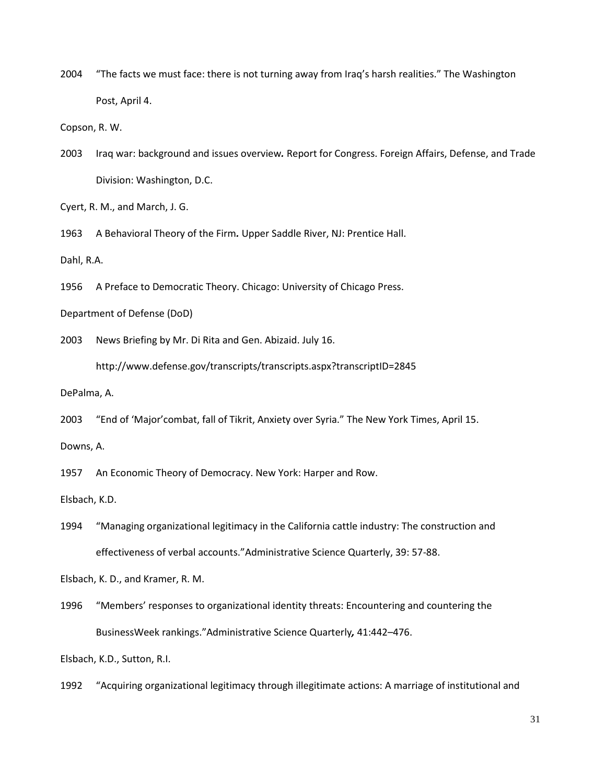2004 "The facts we must face: there is not turning away from Iraq's harsh realities." The Washington Post, April 4.

Copson, R. W.

2003 Iraq war: background and issues overview*.* Report for Congress. Foreign Affairs, Defense, and Trade Division: Washington, D.C.

Cyert, R. M., and March, J. G.

1963 A Behavioral Theory of the Firm*.* Upper Saddle River, NJ: Prentice Hall.

Dahl, R.A.

1956 A Preface to Democratic Theory. Chicago: University of Chicago Press.

Department of Defense (DoD)

2003 News Briefing by Mr. Di Rita and Gen. Abizaid. July 16.

http://www.defense.gov/transcripts/transcripts.aspx?transcriptID=2845

DePalma, A.

2003 "End of 'Major'combat, fall of Tikrit, Anxiety over Syria." The New York Times, April 15.

Downs, A.

1957 An Economic Theory of Democracy. New York: Harper and Row.

Elsbach, K.D.

1994 "Managing organizational legitimacy in the California cattle industry: The construction and effectiveness of verbal accounts."Administrative Science Quarterly, 39: 57-88.

Elsbach, K. D., and Kramer, R. M.

1996 "Members' responses to organizational identity threats: Encountering and countering the BusinessWeek rankings."Administrative Science Quarterly*,* 41:442–476.

Elsbach, K.D., Sutton, R.I.

1992 "Acquiring organizational legitimacy through illegitimate actions: A marriage of institutional and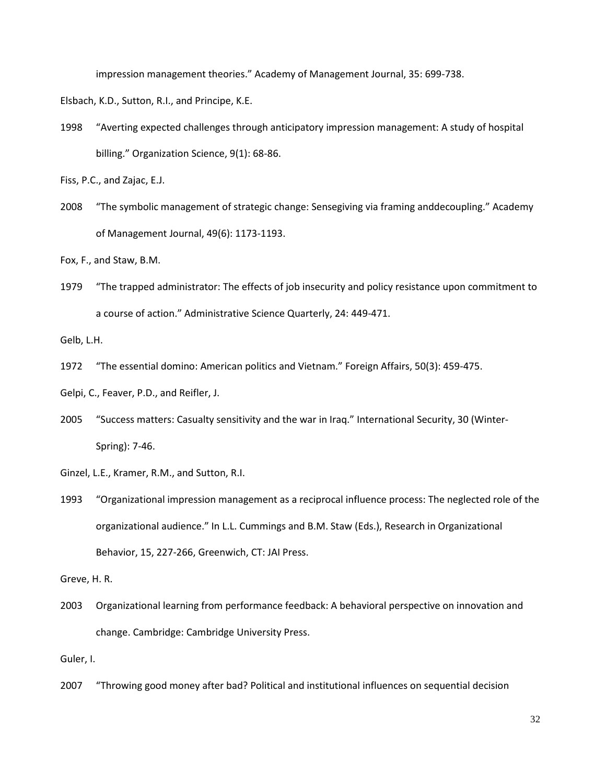impression management theories." Academy of Management Journal, 35: 699-738.

Elsbach, K.D., Sutton, R.I., and Principe, K.E.

1998 "Averting expected challenges through anticipatory impression management: A study of hospital billing." Organization Science, 9(1): 68-86.

Fiss, P.C., and Zajac, E.J.

2008 "The symbolic management of strategic change: Sensegiving via framing anddecoupling." Academy of Management Journal, 49(6): 1173-1193.

Fox, F., and Staw, B.M.

1979 "The trapped administrator: The effects of job insecurity and policy resistance upon commitment to a course of action." Administrative Science Quarterly, 24: 449-471.

Gelb, L.H.

1972 "The essential domino: American politics and Vietnam." Foreign Affairs, 50(3): 459-475.

Gelpi, C., Feaver, P.D., and Reifler, J.

- 2005 "Success matters: Casualty sensitivity and the war in Iraq." International Security, 30 (Winter-Spring): 7-46.
- Ginzel, L.E., Kramer, R.M., and Sutton, R.I.
- 1993 "Organizational impression management as a reciprocal influence process: The neglected role of the organizational audience." In L.L. Cummings and B.M. Staw (Eds.), Research in Organizational Behavior, 15, 227-266, Greenwich, CT: JAI Press.

Greve, H. R.

2003 Organizational learning from performance feedback: A behavioral perspective on innovation and change. Cambridge: Cambridge University Press.

Guler, I.

2007 "Throwing good money after bad? Political and institutional influences on sequential decision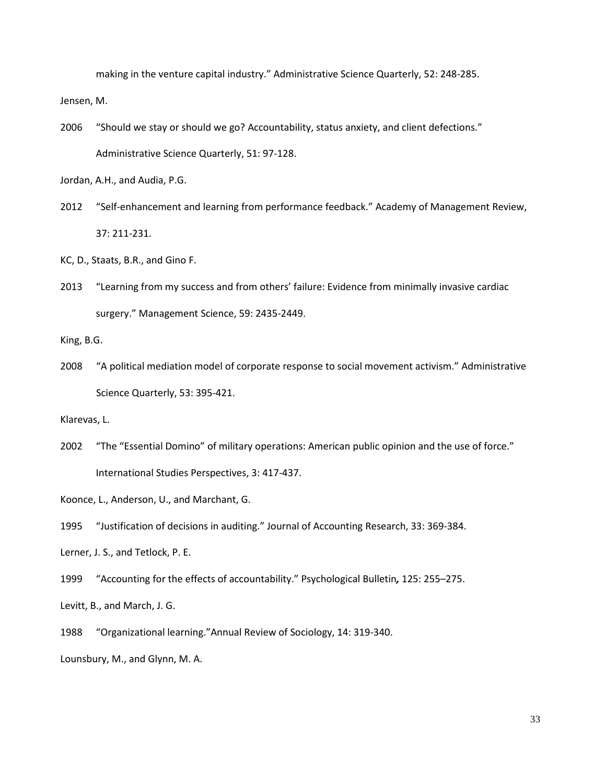making in the venture capital industry." Administrative Science Quarterly, 52: 248-285.

Jensen, M.

2006 "Should we stay or should we go? Accountability, status anxiety, and client defections." Administrative Science Quarterly, 51: 97-128.

Jordan, A.H., and Audia, P.G.

2012 "Self-enhancement and learning from performance feedback." Academy of Management Review, 37: 211-231.

KC, D., Staats, B.R., and Gino F.

2013 "Learning from my success and from others' failure: Evidence from minimally invasive cardiac surgery." Management Science, 59: 2435-2449.

King, B.G.

2008 "A political mediation model of corporate response to social movement activism." Administrative Science Quarterly, 53: 395-421.

Klarevas, L.

2002 "The "Essential Domino" of military operations: American public opinion and the use of force." International Studies Perspectives, 3: 417-437.

Koonce, L., Anderson, U., and Marchant, G.

- 1995 "Justification of decisions in auditing." Journal of Accounting Research, 33: 369-384.
- Lerner, J. S., and Tetlock, P. E.
- 1999 "Accounting for the effects of accountability." Psychological Bulletin*,* 125: 255–275.
- Levitt, B., and March, J. G.
- 1988 "Organizational learning."Annual Review of Sociology, 14: 319-340.

Lounsbury, M., and Glynn, M. A.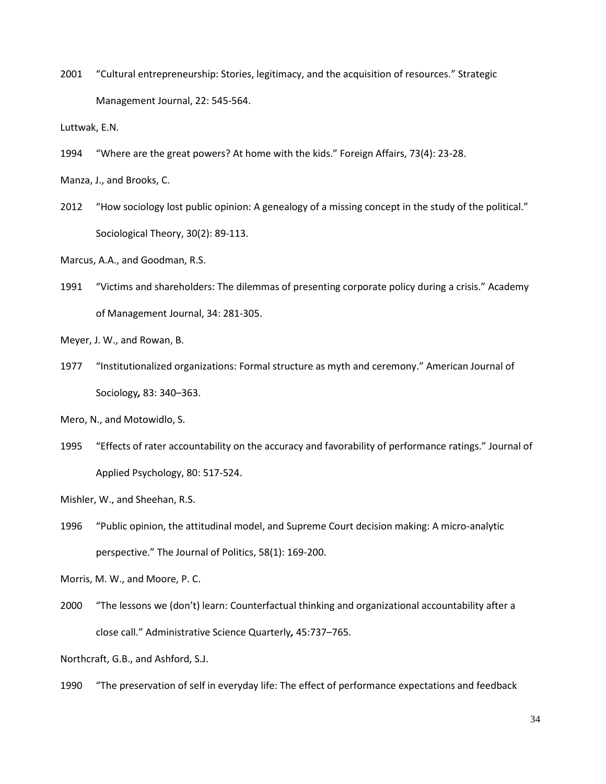2001 "Cultural entrepreneurship: Stories, legitimacy, and the acquisition of resources." Strategic Management Journal, 22: 545-564.

Luttwak, E.N.

1994 "Where are the great powers? At home with the kids." Foreign Affairs, 73(4): 23-28.

Manza, J., and Brooks, C.

2012 "How sociology lost public opinion: A genealogy of a missing concept in the study of the political." Sociological Theory, 30(2): 89-113.

Marcus, A.A., and Goodman, R.S.

1991 "Victims and shareholders: The dilemmas of presenting corporate policy during a crisis." Academy of Management Journal, 34: 281-305.

Meyer, J. W., and Rowan, B.

1977 "Institutionalized organizations: Formal structure as myth and ceremony." American Journal of Sociology*,* 83: 340–363.

Mero, N., and Motowidlo, S.

1995 "Effects of rater accountability on the accuracy and favorability of performance ratings." Journal of Applied Psychology, 80: 517-524.

Mishler, W., and Sheehan, R.S.

1996 "Public opinion, the attitudinal model, and Supreme Court decision making: A micro-analytic perspective." The Journal of Politics, 58(1): 169-200.

Morris, M. W., and Moore, P. C.

2000 "The lessons we (don't) learn: Counterfactual thinking and organizational accountability after a close call." Administrative Science Quarterly*,* 45:737–765.

Northcraft, G.B., and Ashford, S.J.

1990 "The preservation of self in everyday life: The effect of performance expectations and feedback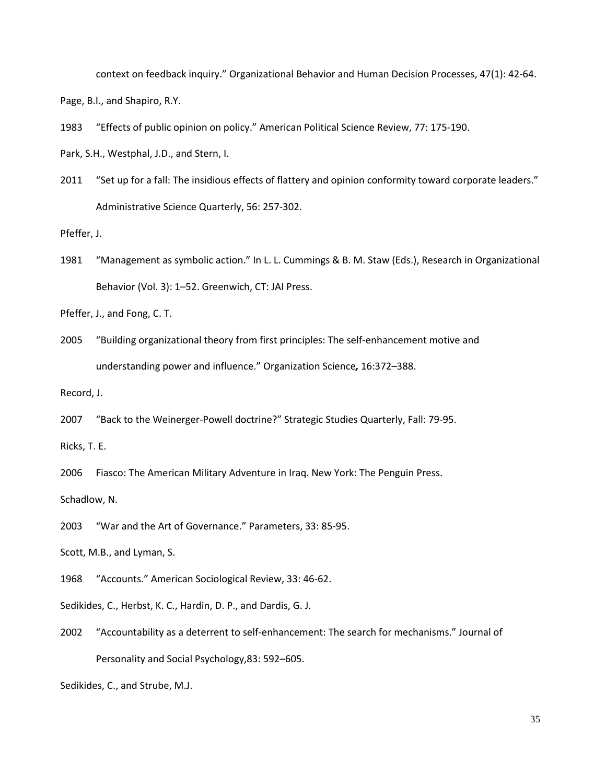context on feedback inquiry." Organizational Behavior and Human Decision Processes, 47(1): 42-64.

Page, B.I., and Shapiro, R.Y.

- 1983 "Effects of public opinion on policy." American Political Science Review, 77: 175-190.
- Park, S.H., Westphal, J.D., and Stern, I.
- 2011 "Set up for a fall: The insidious effects of flattery and opinion conformity toward corporate leaders." Administrative Science Quarterly, 56: 257-302.

Pfeffer, J.

1981 "Management as symbolic action." In L. L. Cummings & B. M. Staw (Eds.), Research in Organizational Behavior (Vol. 3): 1–52. Greenwich, CT: JAI Press.

Pfeffer, J., and Fong, C. T.

2005 "Building organizational theory from first principles: The self-enhancement motive and understanding power and influence." Organization Science*,* 16:372–388.

Record, J.

2007 "Back to the Weinerger-Powell doctrine?" Strategic Studies Quarterly, Fall: 79-95.

Ricks, T. E.

2006 Fiasco: The American Military Adventure in Iraq. New York: The Penguin Press.

Schadlow, N.

2003 "War and the Art of Governance." Parameters, 33: 85-95.

Scott, M.B., and Lyman, S.

1968 "Accounts." American Sociological Review, 33: 46-62.

Sedikides, C., Herbst, K. C., Hardin, D. P., and Dardis, G. J.

2002 "Accountability as a deterrent to self-enhancement: The search for mechanisms." Journal of Personality and Social Psychology,83: 592–605.

Sedikides, C., and Strube, M.J.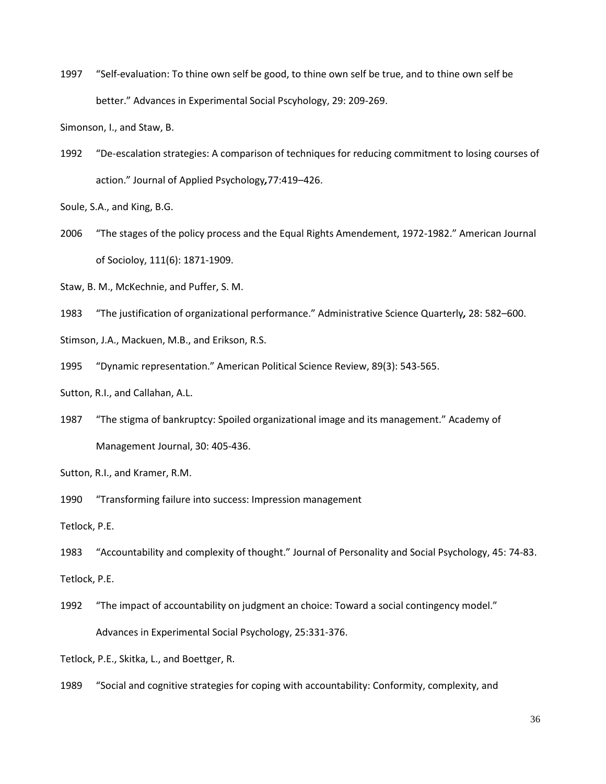1997 "Self-evaluation: To thine own self be good, to thine own self be true, and to thine own self be better." Advances in Experimental Social Pscyhology, 29: 209-269.

Simonson, I., and Staw, B.

1992 "De-escalation strategies: A comparison of techniques for reducing commitment to losing courses of action." Journal of Applied Psychology*,*77:419–426.

Soule, S.A., and King, B.G.

- 2006 "The stages of the policy process and the Equal Rights Amendement, 1972-1982." American Journal of Socioloy, 111(6): 1871-1909.
- Staw, B. M., McKechnie, and Puffer, S. M.
- 1983 "The justification of organizational performance." Administrative Science Quarterly*,* 28: 582–600.
- Stimson, J.A., Mackuen, M.B., and Erikson, R.S.
- 1995 "Dynamic representation." American Political Science Review, 89(3): 543-565.

Sutton, R.I., and Callahan, A.L.

1987 "The stigma of bankruptcy: Spoiled organizational image and its management." Academy of Management Journal, 30: 405-436.

1990 "Transforming failure into success: Impression management

Tetlock, P.E.

1983 "Accountability and complexity of thought." Journal of Personality and Social Psychology, 45: 74-83.

Tetlock, P.E.

1992 "The impact of accountability on judgment an choice: Toward a social contingency model." Advances in Experimental Social Psychology, 25:331-376.

Tetlock, P.E., Skitka, L., and Boettger, R.

1989 "Social and cognitive strategies for coping with accountability: Conformity, complexity, and

Sutton, R.I., and Kramer, R.M.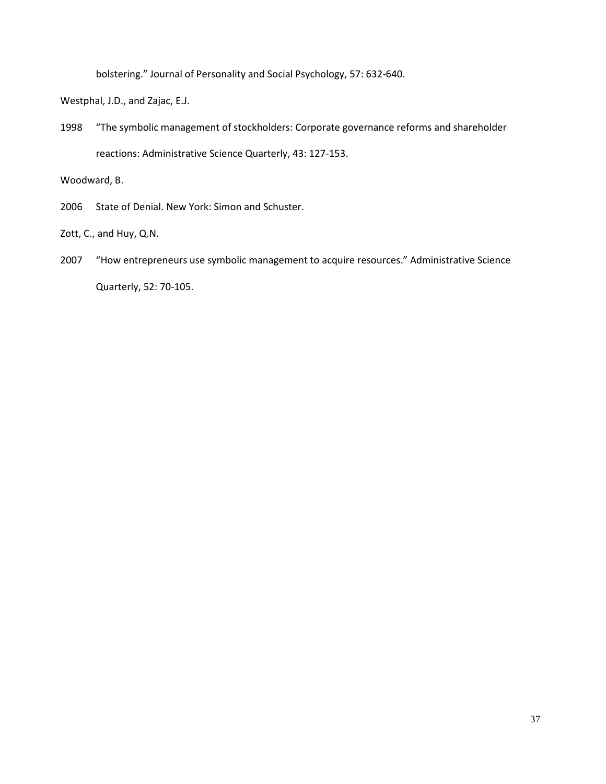bolstering." Journal of Personality and Social Psychology, 57: 632-640.

Westphal, J.D., and Zajac, E.J.

1998 "The symbolic management of stockholders: Corporate governance reforms and shareholder reactions: Administrative Science Quarterly, 43: 127-153.

Woodward, B.

2006 State of Denial. New York: Simon and Schuster.

Zott, C., and Huy, Q.N.

2007 "How entrepreneurs use symbolic management to acquire resources." Administrative Science Quarterly, 52: 70-105.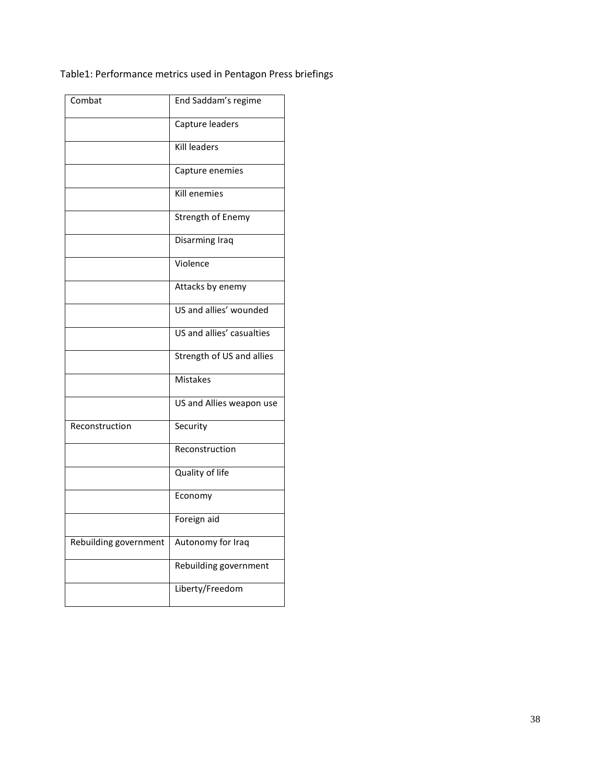# Table1: Performance metrics used in Pentagon Press briefings

| Combat                | End Saddam's regime       |
|-----------------------|---------------------------|
|                       | Capture leaders           |
|                       | <b>Kill leaders</b>       |
|                       | Capture enemies           |
|                       | Kill enemies              |
|                       | <b>Strength of Enemy</b>  |
|                       | Disarming Iraq            |
|                       | Violence                  |
|                       | Attacks by enemy          |
|                       | US and allies' wounded    |
|                       | US and allies' casualties |
|                       | Strength of US and allies |
|                       | <b>Mistakes</b>           |
|                       | US and Allies weapon use  |
| Reconstruction        | Security                  |
|                       | Reconstruction            |
|                       | Quality of life           |
|                       | Economy                   |
|                       | Foreign aid               |
| Rebuilding government | Autonomy for Iraq         |
|                       | Rebuilding government     |
|                       | Liberty/Freedom           |
|                       |                           |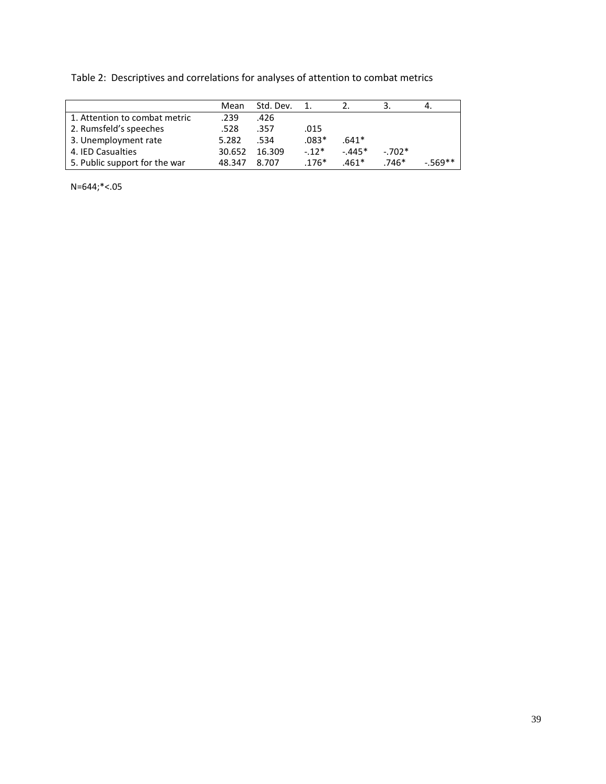Table 2: Descriptives and correlations for analyses of attention to combat metrics

|                               | Mean   | Std. Dev. |         |         |         |            |
|-------------------------------|--------|-----------|---------|---------|---------|------------|
| 1. Attention to combat metric | .239   | .426      |         |         |         |            |
| 2. Rumsfeld's speeches        | .528   | .357      | .015    |         |         |            |
| 3. Unemployment rate          | 5.282  | .534      | $.083*$ | $.641*$ |         |            |
| 4. IED Casualties             | 30.652 | 16.309    | $-12*$  | $-445*$ | $-702*$ |            |
| 5. Public support for the war | 48.347 | 8.707     | $.176*$ | $.461*$ | $.746*$ | $-0.569**$ |

N=644;\*<.05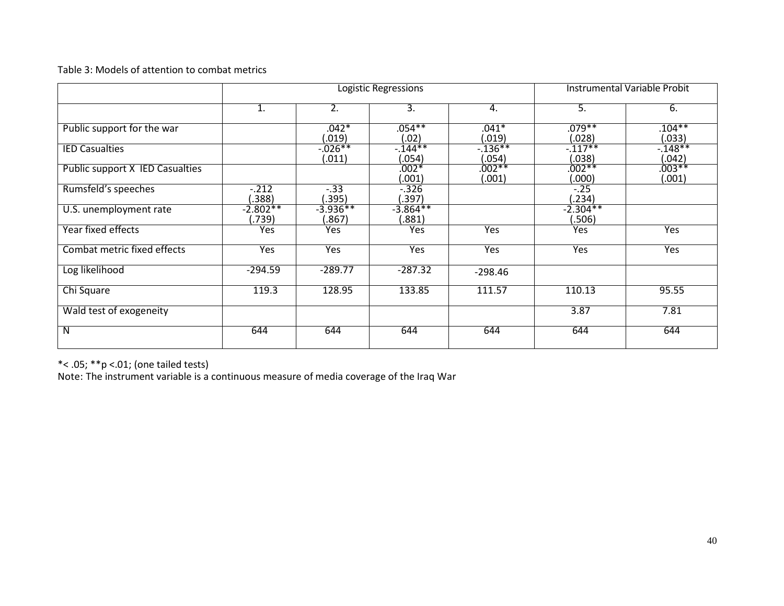# Table 3: Models of attention to combat metrics

|                                 | <b>Logistic Regressions</b> |                      |                      |                      | <b>Instrumental Variable Probit</b> |                    |  |
|---------------------------------|-----------------------------|----------------------|----------------------|----------------------|-------------------------------------|--------------------|--|
|                                 | 1.                          | 2.                   | 3.                   | 4.                   | 5.                                  | 6.                 |  |
| Public support for the war      |                             | $.042*$<br>(.019)    | $.054***$<br>(.02)   | $.041*$<br>(.019)    | $.079***$<br>(.028)                 | $.104***$<br>(033) |  |
| <b>IED Casualties</b>           |                             | $-0.026**$<br>(.011) | $-144**$<br>(.054)   | $-0.136**$<br>(.054) | $-117**$<br>(.038)                  | $-148**$<br>.042)  |  |
| Public support X IED Casualties |                             |                      | $.002*$<br>(.001)    | $.002**$<br>(.001)   | $.002**$<br>(.000)                  | $.003***$<br>.001) |  |
| Rumsfeld's speeches             | $-0.212$<br>.388)           | $-33$<br>(.395)      | $-0.326$<br>(.397)   |                      | $-.25$<br>.234)                     |                    |  |
| U.S. unemployment rate          | $-2.802**$<br>(.739)        | $-3.936**$<br>.867)  | $-3.864**$<br>(.881) |                      | $-2.304**$<br>.506)                 |                    |  |
| Year fixed effects              | Yes                         | Yes                  | Yes.                 | Yes                  | Yes                                 | Yes                |  |
| Combat metric fixed effects     | Yes                         | Yes                  | Yes                  | Yes                  | Yes                                 | Yes                |  |
| Log likelihood                  | $-294.59$                   | $-289.77$            | $-287.32$            | $-298.46$            |                                     |                    |  |
| Chi Square                      | 119.3                       | 128.95               | 133.85               | 111.57               | 110.13                              | 95.55              |  |
| Wald test of exogeneity         |                             |                      |                      |                      | 3.87                                | 7.81               |  |
| N                               | 644                         | 644                  | 644                  | 644                  | 644                                 | 644                |  |

\*< .05; \*\*p <.01; (one tailed tests)

Note: The instrument variable is a continuous measure of media coverage of the Iraq War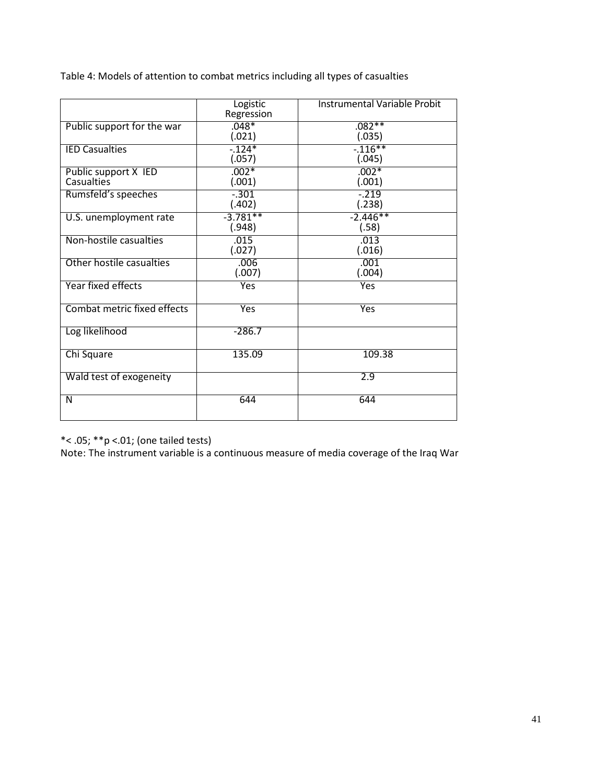Table 4: Models of attention to combat metrics including all types of casualties

|                                           | Logistic<br>Regression | <b>Instrumental Variable Probit</b> |
|-------------------------------------------|------------------------|-------------------------------------|
| Public support for the war                | $.048*$<br>(.021)      | $.082**$<br>(.035)                  |
| <b>IED Casualties</b>                     | $-124*$<br>(.057)      | $-116**$<br>(.045)                  |
| Public support X IED<br><b>Casualties</b> | $.002*$<br>(.001)      | $.002*$<br>(.001)                   |
| Rumsfeld's speeches                       | $-0.301$<br>(.402)     | $-0.219$<br>(.238)                  |
| U.S. unemployment rate                    | $-3.781**$<br>(.948)   | $-2.446**$<br>(.58)                 |
| Non-hostile casualties                    | .015<br>(.027)         | .013<br>(.016)                      |
| Other hostile casualties                  | .006<br>(.007)         | .001<br>(.004)                      |
| Year fixed effects                        | Yes                    | Yes                                 |
| Combat metric fixed effects               | Yes                    | Yes                                 |
| Log likelihood                            | $-286.7$               |                                     |
| Chi Square                                | 135.09                 | 109.38                              |
| Wald test of exogeneity                   |                        | 2.9                                 |
| N                                         | 644                    | 644                                 |

\*< .05; \*\*p <.01; (one tailed tests)

Note: The instrument variable is a continuous measure of media coverage of the Iraq War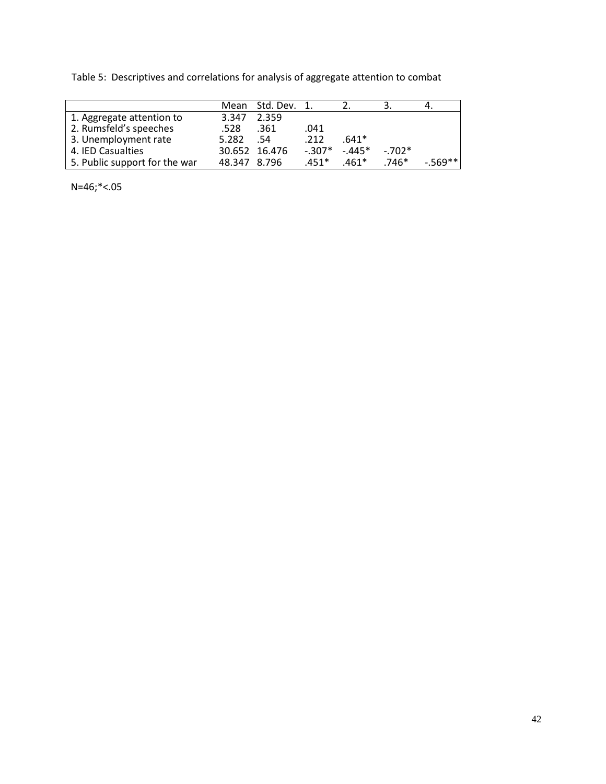Table 5: Descriptives and correlations for analysis of aggregate attention to combat

|                               |              | Mean Std. Dev. 1. |         |         |         |          |
|-------------------------------|--------------|-------------------|---------|---------|---------|----------|
| 1. Aggregate attention to     | 3.347        | 2.359             |         |         |         |          |
| 2. Rumsfeld's speeches        | .528         | .361              | .041    |         |         |          |
| 3. Unemployment rate          | 5.282        | .54               | .212    | $.641*$ |         |          |
| 4. IED Casualties             |              | 30.652 16.476     | $-307*$ | $-445*$ | $-702*$ |          |
| 5. Public support for the war | 48.347 8.796 |                   | $.451*$ | $.461*$ | $.746*$ | $-569**$ |

N=46;\*<.05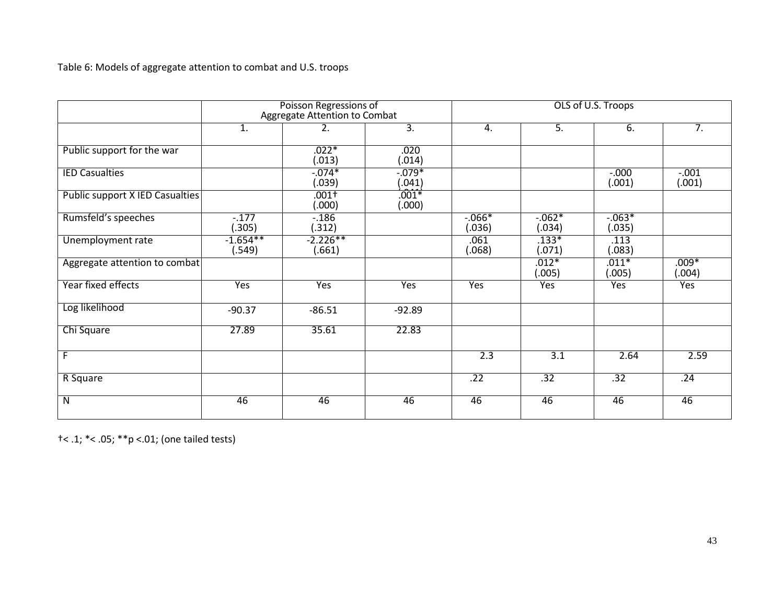Table 6: Models of aggregate attention to combat and U.S. troops

|                                        | Poisson Regressions of<br>Aggregate Attention to Combat |                      |                     | OLS of U.S. Troops  |                     |                     |                    |
|----------------------------------------|---------------------------------------------------------|----------------------|---------------------|---------------------|---------------------|---------------------|--------------------|
|                                        | 1.                                                      | 2.                   | $\overline{3}$ .    | 4.                  | 5.                  | 6.                  | 7.                 |
| Public support for the war             |                                                         | $.022*$<br>(.013)    | .020<br>(.014)      |                     |                     |                     |                    |
| <b>IED Casualties</b>                  |                                                         | $-0.074*$<br>(.039)  | $-0.079*$<br>(.041) |                     |                     | $-0.000$<br>(.001)  | $-0.001$<br>(.001) |
| <b>Public support X IED Casualties</b> |                                                         | $.001+$<br>(000)     | $.001*$<br>(.000)   |                     |                     |                     |                    |
| Rumsfeld's speeches                    | $-177$<br>(.305)                                        | $-186$<br>(.312)     |                     | $-0.066*$<br>(.036) | $-0.062*$<br>(.034) | $-0.063*$<br>(.035) |                    |
| Unemployment rate                      | $-1.654**$<br>(.549)                                    | $-2.226**$<br>(.661) |                     | .061<br>(.068)      | $.133*$<br>(.071)   | .113<br>(.083)      |                    |
| Aggregate attention to combat          |                                                         |                      |                     |                     | $.012*$<br>(.005)   | $.011*$<br>(.005)   | $.009*$<br>(.004)  |
| Year fixed effects                     | Yes                                                     | Yes                  | Yes                 | Yes                 | Yes                 | Yes                 | Yes                |
| Log likelihood                         | $-90.37$                                                | $-86.51$             | $-92.89$            |                     |                     |                     |                    |
| Chi Square                             | 27.89                                                   | 35.61                | 22.83               |                     |                     |                     |                    |
| F                                      |                                                         |                      |                     | 2.3                 | $\overline{3.1}$    | 2.64                | 2.59               |
| R Square                               |                                                         |                      |                     | .22                 | .32                 | .32                 | .24                |
| $\overline{\mathsf{N}}$                | 46                                                      | 46                   | 46                  | 46                  | 46                  | 46                  | 46                 |

†< .1; \*< .05; \*\*p <.01; (one tailed tests)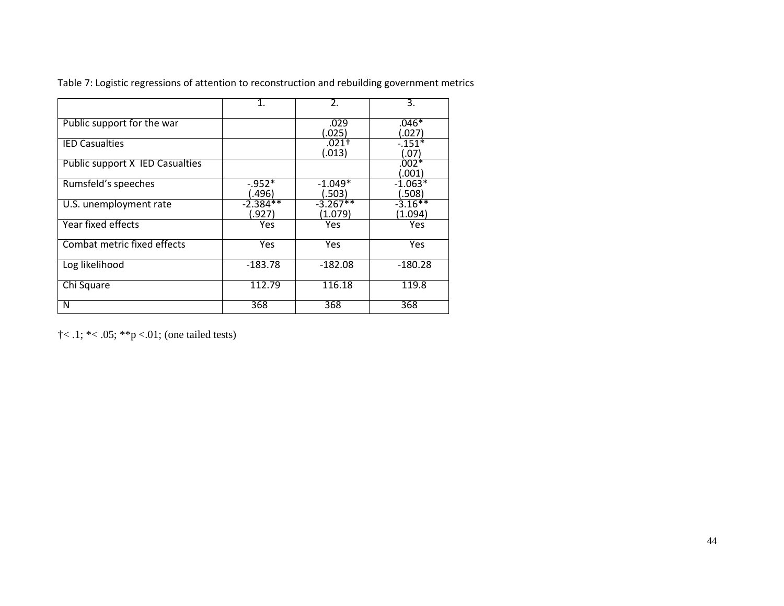|                                        | $\mathbf{1}$ .        | 2.                    | 3.                             |
|----------------------------------------|-----------------------|-----------------------|--------------------------------|
| Public support for the war             |                       | .029<br>(025)         | $.046*$<br>027                 |
| <b>IED Casualties</b>                  |                       | $.021+$<br>(.013)     | $-151*$<br>(.07                |
| <b>Public support X IED Casualties</b> |                       |                       | $.002*$<br>$\left(0.01\right)$ |
| Rumsfeld's speeches                    | $-0.952*$<br>(496.)   | $-1.049*$<br>(.503)   | $-1.063*$<br>(.508)            |
| U.S. unemployment rate                 | $-2.384**$<br>(927. ـ | $-3.267**$<br>(1.079) | $-3.16**$<br>(1.094)           |
| Year fixed effects                     | Yes                   | Yes                   | Yes                            |
| Combat metric fixed effects            | Yes                   | Yes                   | Yes                            |
| Log likelihood                         | $-183.78$             | $-182.08$             | $-180.28$                      |
| Chi Square                             | 112.79                | 116.18                | 119.8                          |
| N                                      | 368                   | 368                   | 368                            |

Table 7: Logistic regressions of attention to reconstruction and rebuilding government metrics

 $\dagger$  < .1;  $*$  < .05;  $*$  $\nparallel$   $\in$  01; (one tailed tests)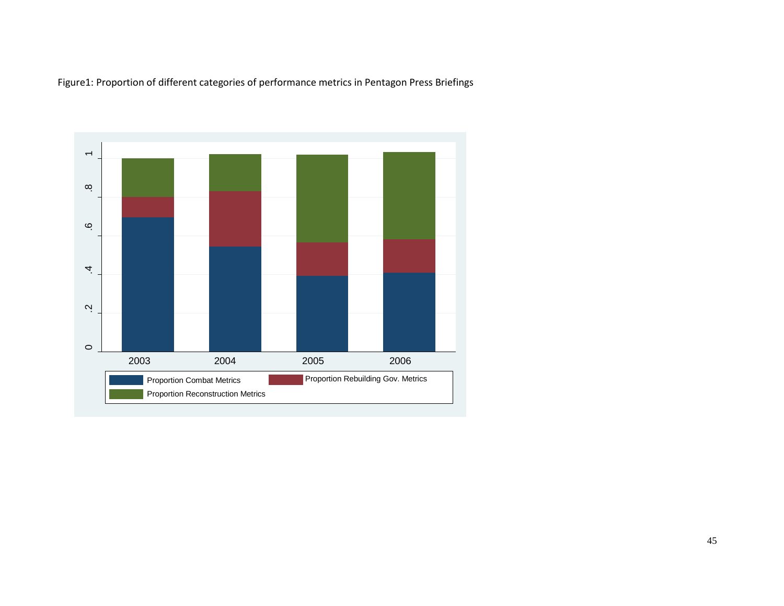Figure1: Proportion of different categories of performance metrics in Pentagon Press Briefings

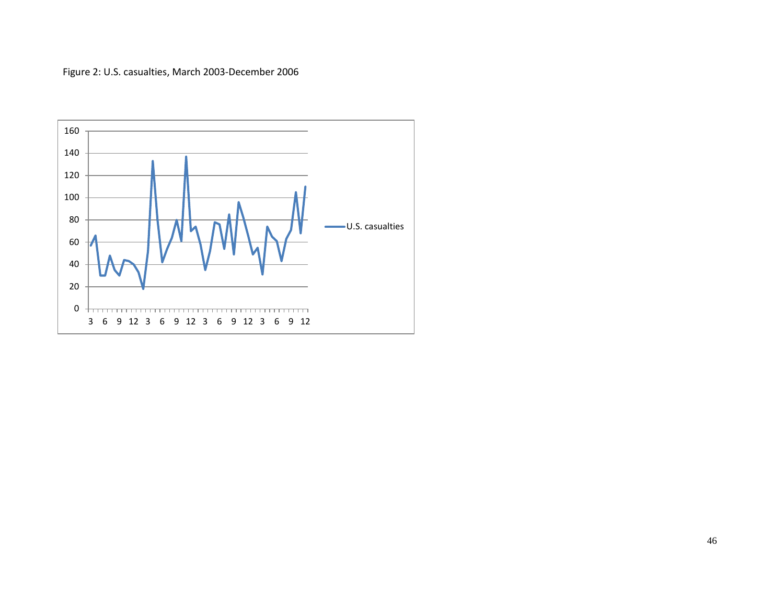Figure 2: U.S. casualties, March 2003-December 2006